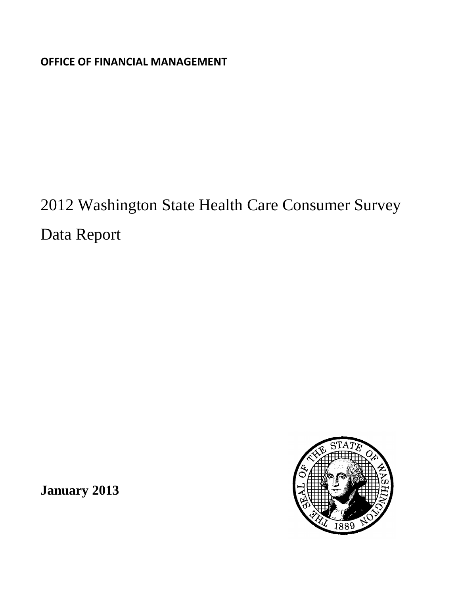**OFFICE OF FINANCIAL MANAGEMENT**

2012 Washington State Health Care Consumer Survey Data Report



**January 2013**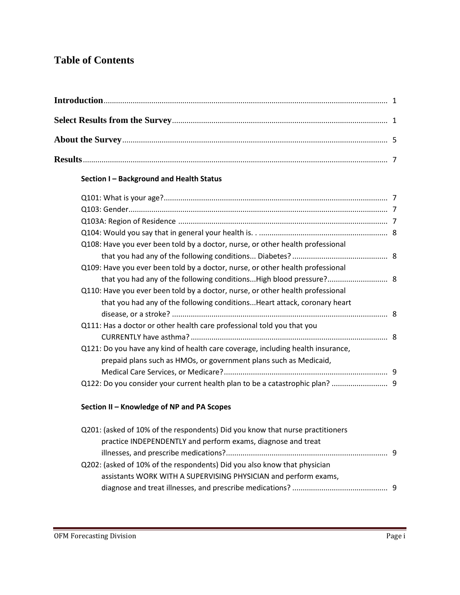# **Table of Contents**

# **Section I – Background and Health Status**

| that you had any of the following conditionsHigh blood pressure? 8 |
|--------------------------------------------------------------------|
|                                                                    |
|                                                                    |
|                                                                    |
|                                                                    |
|                                                                    |
|                                                                    |
|                                                                    |
|                                                                    |
|                                                                    |
|                                                                    |

# **Section II – Knowledge of NP and PA Scopes**

| Q201: (asked of 10% of the respondents) Did you know that nurse practitioners |     |
|-------------------------------------------------------------------------------|-----|
| practice INDEPENDENTLY and perform exams, diagnose and treat                  |     |
|                                                                               | - 9 |
| Q202: (asked of 10% of the respondents) Did you also know that physician      |     |
| assistants WORK WITH A SUPERVISING PHYSICIAN and perform exams,               |     |
|                                                                               |     |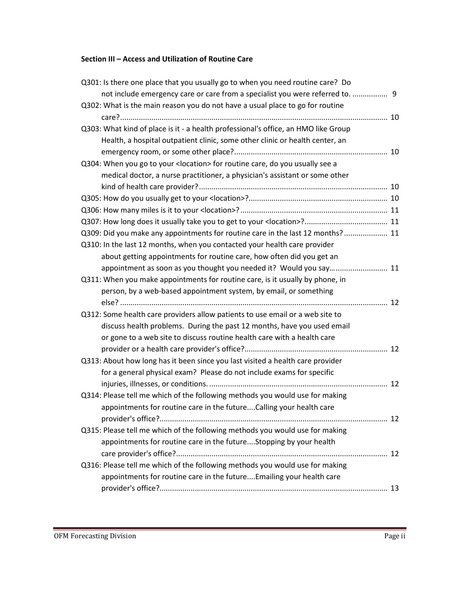# **Section III – Access and Utilization of Routine Care**

| Q301: Is there one place that you usually go to when you need routine care? Do     |  |
|------------------------------------------------------------------------------------|--|
| not include emergency care or care from a specialist you were referred to.  9      |  |
| Q302: What is the main reason you do not have a usual place to go for routine      |  |
|                                                                                    |  |
| Q303: What kind of place is it - a health professional's office, an HMO like Group |  |
| Health, a hospital outpatient clinic, some other clinic or health center, an       |  |
|                                                                                    |  |
| Q304: When you go to your < location> for routine care, do you usually see a       |  |
| medical doctor, a nurse practitioner, a physician's assistant or some other        |  |
|                                                                                    |  |
|                                                                                    |  |
|                                                                                    |  |
|                                                                                    |  |
| Q309: Did you make any appointments for routine care in the last 12 months? 11     |  |
| Q310: In the last 12 months, when you contacted your health care provider          |  |
| about getting appointments for routine care, how often did you get an              |  |
| appointment as soon as you thought you needed it? Would you say 11                 |  |
| Q311: When you make appointments for routine care, is it usually by phone, in      |  |
| person, by a web-based appointment system, by email, or something                  |  |
|                                                                                    |  |
| Q312: Some health care providers allow patients to use email or a web site to      |  |
| discuss health problems. During the past 12 months, have you used email            |  |
| or gone to a web site to discuss routine health care with a health care            |  |
|                                                                                    |  |
| Q313: About how long has it been since you last visited a health care provider     |  |
| for a general physical exam? Please do not include exams for specific              |  |
|                                                                                    |  |
| Q314: Please tell me which of the following methods you would use for making       |  |
| appointments for routine care in the future Calling your health care               |  |
|                                                                                    |  |
| Q315: Please tell me which of the following methods you would use for making       |  |
| appointments for routine care in the futureStopping by your health                 |  |
|                                                                                    |  |
| Q316: Please tell me which of the following methods you would use for making       |  |
| appointments for routine care in the future Emailing your health care              |  |
|                                                                                    |  |
|                                                                                    |  |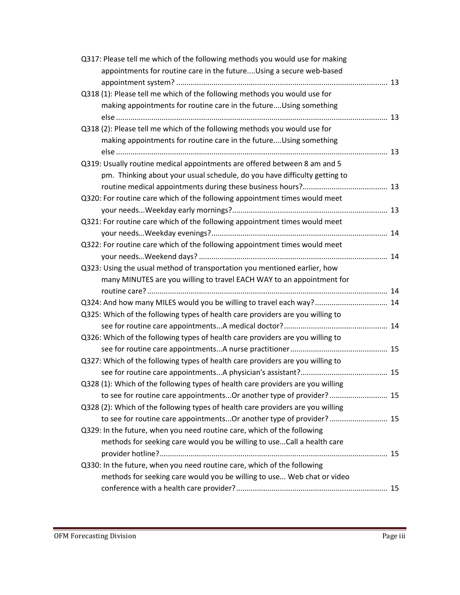| Q317: Please tell me which of the following methods you would use for making    |  |
|---------------------------------------------------------------------------------|--|
| appointments for routine care in the futureUsing a secure web-based             |  |
|                                                                                 |  |
| Q318 (1): Please tell me which of the following methods you would use for       |  |
| making appointments for routine care in the futureUsing something               |  |
|                                                                                 |  |
| Q318 (2): Please tell me which of the following methods you would use for       |  |
| making appointments for routine care in the futureUsing something               |  |
|                                                                                 |  |
| Q319: Usually routine medical appointments are offered between 8 am and 5       |  |
| pm. Thinking about your usual schedule, do you have difficulty getting to       |  |
|                                                                                 |  |
| Q320: For routine care which of the following appointment times would meet      |  |
|                                                                                 |  |
| Q321: For routine care which of the following appointment times would meet      |  |
|                                                                                 |  |
| Q322: For routine care which of the following appointment times would meet      |  |
|                                                                                 |  |
| Q323: Using the usual method of transportation you mentioned earlier, how       |  |
| many MINUTES are you willing to travel EACH WAY to an appointment for           |  |
|                                                                                 |  |
| Q324: And how many MILES would you be willing to travel each way? 14            |  |
| Q325: Which of the following types of health care providers are you willing to  |  |
|                                                                                 |  |
| Q326: Which of the following types of health care providers are you willing to  |  |
|                                                                                 |  |
| Q327: Which of the following types of health care providers are you willing to  |  |
|                                                                                 |  |
| Q328 (1): Which of the following types of health care providers are you willing |  |
| to see for routine care appointmentsOr another type of provider? 15             |  |
| Q328 (2): Which of the following types of health care providers are you willing |  |
| to see for routine care appointmentsOr another type of provider? 15             |  |
| Q329: In the future, when you need routine care, which of the following         |  |
| methods for seeking care would you be willing to use Call a health care         |  |
|                                                                                 |  |
| Q330: In the future, when you need routine care, which of the following         |  |
| methods for seeking care would you be willing to use Web chat or video          |  |
|                                                                                 |  |
|                                                                                 |  |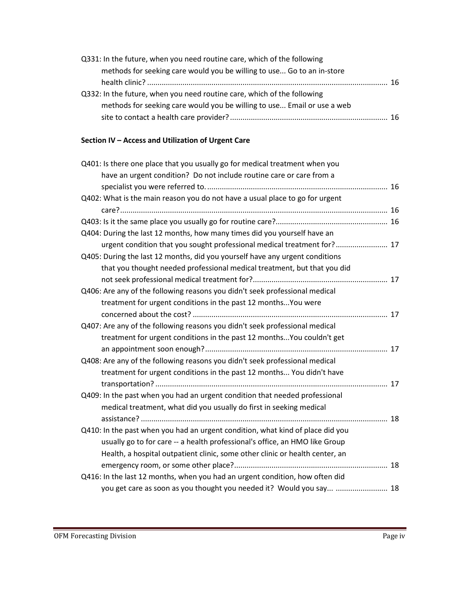| Q331: In the future, when you need routine care, which of the following |     |
|-------------------------------------------------------------------------|-----|
| methods for seeking care would you be willing to use Go to an in-store  |     |
|                                                                         | 16. |
| Q332: In the future, when you need routine care, which of the following |     |
| methods for seeking care would you be willing to use Email or use a web |     |
|                                                                         |     |

# **Section IV – Access and Utilization of Urgent Care**

| Q401: Is there one place that you usually go for medical treatment when you    |  |
|--------------------------------------------------------------------------------|--|
| have an urgent condition? Do not include routine care or care from a           |  |
|                                                                                |  |
| Q402: What is the main reason you do not have a usual place to go for urgent   |  |
|                                                                                |  |
|                                                                                |  |
| Q404: During the last 12 months, how many times did you yourself have an       |  |
| urgent condition that you sought professional medical treatment for? 17        |  |
| Q405: During the last 12 months, did you yourself have any urgent conditions   |  |
| that you thought needed professional medical treatment, but that you did       |  |
|                                                                                |  |
| Q406: Are any of the following reasons you didn't seek professional medical    |  |
| treatment for urgent conditions in the past 12 months You were                 |  |
|                                                                                |  |
| Q407: Are any of the following reasons you didn't seek professional medical    |  |
| treatment for urgent conditions in the past 12 months You couldn't get         |  |
|                                                                                |  |
| Q408: Are any of the following reasons you didn't seek professional medical    |  |
| treatment for urgent conditions in the past 12 months You didn't have          |  |
|                                                                                |  |
| Q409: In the past when you had an urgent condition that needed professional    |  |
| medical treatment, what did you usually do first in seeking medical            |  |
|                                                                                |  |
| Q410: In the past when you had an urgent condition, what kind of place did you |  |
| usually go to for care -- a health professional's office, an HMO like Group    |  |
| Health, a hospital outpatient clinic, some other clinic or health center, an   |  |
|                                                                                |  |
| Q416: In the last 12 months, when you had an urgent condition, how often did   |  |
| you get care as soon as you thought you needed it? Would you say  18           |  |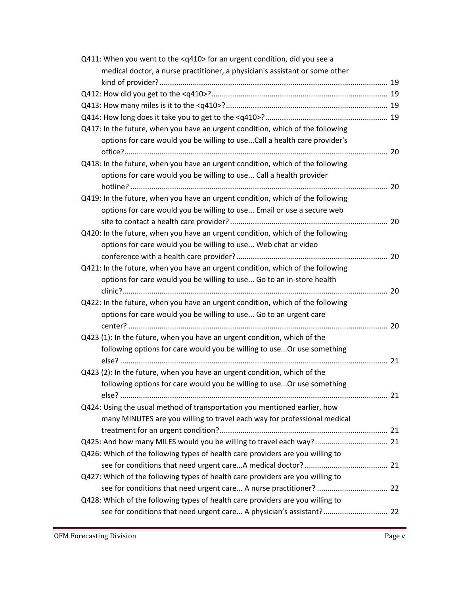| Q411: When you went to the <q410> for an urgent condition, did you see a</q410> |  |
|---------------------------------------------------------------------------------|--|
| medical doctor, a nurse practitioner, a physician's assistant or some other     |  |
|                                                                                 |  |
|                                                                                 |  |
|                                                                                 |  |
|                                                                                 |  |
| Q417: In the future, when you have an urgent condition, which of the following  |  |
| options for care would you be willing to useCall a health care provider's       |  |
|                                                                                 |  |
| Q418: In the future, when you have an urgent condition, which of the following  |  |
| options for care would you be willing to use Call a health provider             |  |
|                                                                                 |  |
| Q419: In the future, when you have an urgent condition, which of the following  |  |
| options for care would you be willing to use Email or use a secure web          |  |
|                                                                                 |  |
| Q420: In the future, when you have an urgent condition, which of the following  |  |
| options for care would you be willing to use Web chat or video                  |  |
|                                                                                 |  |
| Q421: In the future, when you have an urgent condition, which of the following  |  |
| options for care would you be willing to use Go to an in-store health           |  |
|                                                                                 |  |
| Q422: In the future, when you have an urgent condition, which of the following  |  |
| options for care would you be willing to use Go to an urgent care               |  |
|                                                                                 |  |
| Q423 (1): In the future, when you have an urgent condition, which of the        |  |
| following options for care would you be willing to use Or use something         |  |
|                                                                                 |  |
| Q423 (2): In the future, when you have an urgent condition, which of the        |  |
| following options for care would you be willing to use Or use something         |  |
|                                                                                 |  |
| Q424: Using the usual method of transportation you mentioned earlier, how       |  |
| many MINUTES are you willing to travel each way for professional medical        |  |
|                                                                                 |  |
| Q425: And how many MILES would you be willing to travel each way? 21            |  |
| Q426: Which of the following types of health care providers are you willing to  |  |
|                                                                                 |  |
| Q427: Which of the following types of health care providers are you willing to  |  |
| see for conditions that need urgent care A nurse practitioner?  22              |  |
| Q428: Which of the following types of health care providers are you willing to  |  |
| see for conditions that need urgent care A physician's assistant? 22            |  |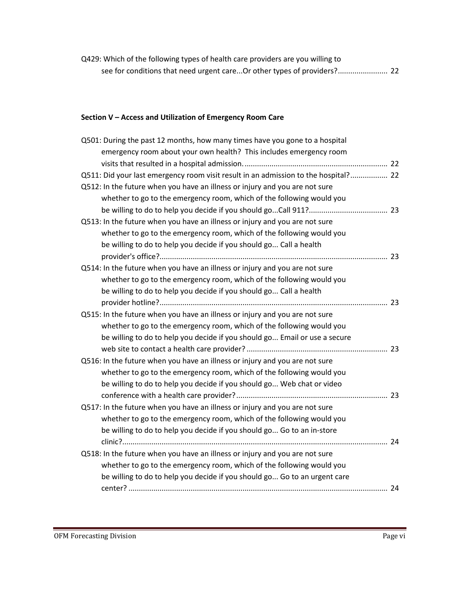Q429: Which of the following types of health care providers are you willing to see for conditions that need urgent care...Or other types of providers?........................ 22

# **Section V – Access and Utilization of Emergency Room Care**

| Q501: During the past 12 months, how many times have you gone to a hospital         |  |
|-------------------------------------------------------------------------------------|--|
| emergency room about your own health? This includes emergency room                  |  |
|                                                                                     |  |
| Q511: Did your last emergency room visit result in an admission to the hospital? 22 |  |
| Q512: In the future when you have an illness or injury and you are not sure         |  |
| whether to go to the emergency room, which of the following would you               |  |
|                                                                                     |  |
| Q513: In the future when you have an illness or injury and you are not sure         |  |
| whether to go to the emergency room, which of the following would you               |  |
| be willing to do to help you decide if you should go Call a health                  |  |
|                                                                                     |  |
| Q514: In the future when you have an illness or injury and you are not sure         |  |
| whether to go to the emergency room, which of the following would you               |  |
| be willing to do to help you decide if you should go Call a health                  |  |
|                                                                                     |  |
| Q515: In the future when you have an illness or injury and you are not sure         |  |
| whether to go to the emergency room, which of the following would you               |  |
| be willing to do to help you decide if you should go Email or use a secure          |  |
|                                                                                     |  |
| Q516: In the future when you have an illness or injury and you are not sure         |  |
| whether to go to the emergency room, which of the following would you               |  |
| be willing to do to help you decide if you should go Web chat or video              |  |
|                                                                                     |  |
| Q517: In the future when you have an illness or injury and you are not sure         |  |
| whether to go to the emergency room, which of the following would you               |  |
| be willing to do to help you decide if you should go Go to an in-store              |  |
|                                                                                     |  |
| Q518: In the future when you have an illness or injury and you are not sure         |  |
| whether to go to the emergency room, which of the following would you               |  |
| be willing to do to help you decide if you should go Go to an urgent care           |  |
|                                                                                     |  |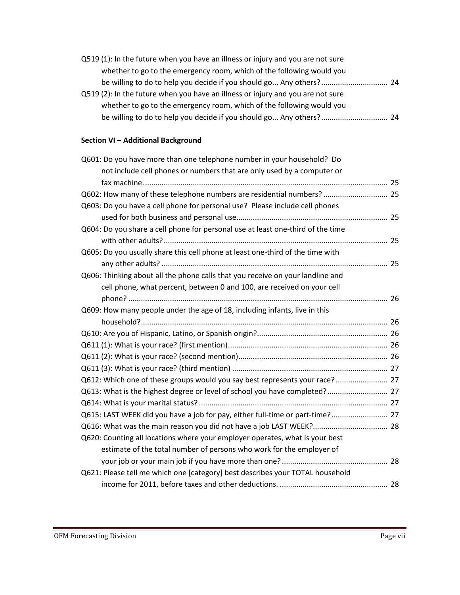| Q519 (1): In the future when you have an illness or injury and you are not sure |  |
|---------------------------------------------------------------------------------|--|
| whether to go to the emergency room, which of the following would you           |  |
|                                                                                 |  |
| Q519 (2): In the future when you have an illness or injury and you are not sure |  |
| whether to go to the emergency room, which of the following would you           |  |
|                                                                                 |  |

# **Section VI – Additional Background**

| Q601: Do you have more than one telephone number in your household? Do          |  |
|---------------------------------------------------------------------------------|--|
| not include cell phones or numbers that are only used by a computer or          |  |
|                                                                                 |  |
| Q602: How many of these telephone numbers are residential numbers?  25          |  |
| Q603: Do you have a cell phone for personal use? Please include cell phones     |  |
|                                                                                 |  |
| Q604: Do you share a cell phone for personal use at least one-third of the time |  |
|                                                                                 |  |
| Q605: Do you usually share this cell phone at least one-third of the time with  |  |
|                                                                                 |  |
| Q606: Thinking about all the phone calls that you receive on your landline and  |  |
| cell phone, what percent, between 0 and 100, are received on your cell          |  |
|                                                                                 |  |
| Q609: How many people under the age of 18, including infants, live in this      |  |
|                                                                                 |  |
|                                                                                 |  |
|                                                                                 |  |
|                                                                                 |  |
|                                                                                 |  |
| Q612: Which one of these groups would you say best represents your race? 27     |  |
| Q613: What is the highest degree or level of school you have completed? 27      |  |
|                                                                                 |  |
| Q615: LAST WEEK did you have a job for pay, either full-time or part-time? 27   |  |
|                                                                                 |  |
| Q620: Counting all locations where your employer operates, what is your best    |  |
| estimate of the total number of persons who work for the employer of            |  |
|                                                                                 |  |
| Q621: Please tell me which one [category] best describes your TOTAL household   |  |
|                                                                                 |  |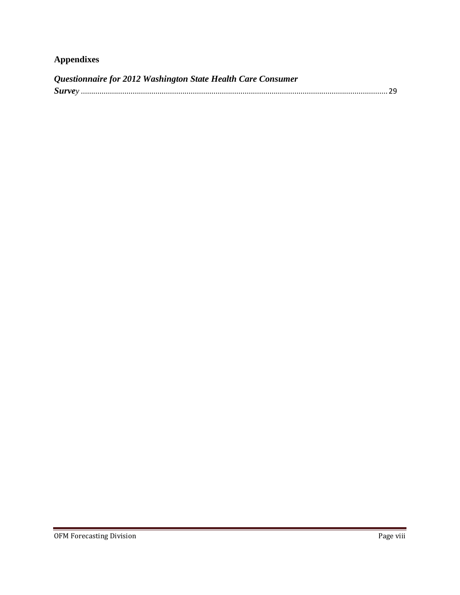# **Appendixes**

| Questionnaire for 2012 Washington State Health Care Consumer |  |
|--------------------------------------------------------------|--|
|                                                              |  |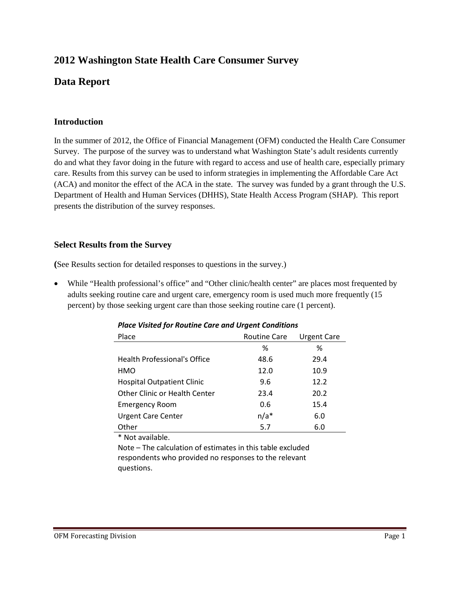# **2012 Washington State Health Care Consumer Survey**

# **Data Report**

# **Introduction**

In the summer of 2012, the Office of Financial Management (OFM) conducted the Health Care Consumer Survey. The purpose of the survey was to understand what Washington State's adult residents currently do and what they favor doing in the future with regard to access and use of health care, especially primary care. Results from this survey can be used to inform strategies in implementing the Affordable Care Act (ACA) and monitor the effect of the ACA in the state. The survey was funded by a grant through the U.S. Department of Health and Human Services (DHHS), State Health Access Program (SHAP). This report presents the distribution of the survey responses.

# **Select Results from the Survey**

**(**See Results section for detailed responses to questions in the survey.)

• While "Health professional's office" and "Other clinic/health center" are places most frequented by adults seeking routine care and urgent care, emergency room is used much more frequently (15 percent) by those seeking urgent care than those seeking routine care (1 percent).

| Place                               | <b>Routine Care</b> | Urgent Care |  |
|-------------------------------------|---------------------|-------------|--|
|                                     | %                   | %           |  |
| <b>Health Professional's Office</b> | 48.6                | 29.4        |  |
| HMO                                 | 12.0                | 10.9        |  |
| <b>Hospital Outpatient Clinic</b>   | 9.6                 | 12.2        |  |
| Other Clinic or Health Center       | 23.4                | 20.2        |  |
| <b>Emergency Room</b>               | 0.6                 | 15.4        |  |
| <b>Urgent Care Center</b>           | $n/a*$              | 6.0         |  |
| Other                               | 5.7                 | 6.0         |  |

*Place Visited for Routine Care and Urgent Conditions*

\* Not available.

Note – The calculation of estimates in this table excluded respondents who provided no responses to the relevant questions.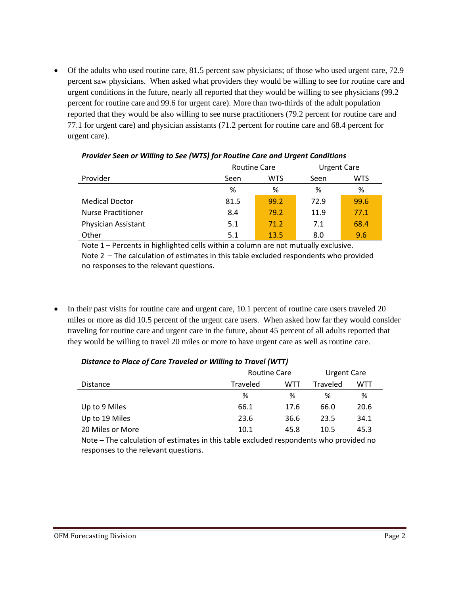• Of the adults who used routine care, 81.5 percent saw physicians; of those who used urgent care, 72.9 percent saw physicians. When asked what providers they would be willing to see for routine care and urgent conditions in the future, nearly all reported that they would be willing to see physicians (99.2 percent for routine care and 99.6 for urgent care). More than two-thirds of the adult population reported that they would be also willing to see nurse practitioners (79.2 percent for routine care and 77.1 for urgent care) and physician assistants (71.2 percent for routine care and 68.4 percent for urgent care).

|                           | <b>Routine Care</b> |            | <b>Urgent Care</b> |            |
|---------------------------|---------------------|------------|--------------------|------------|
| Provider                  | Seen                | <b>WTS</b> | Seen               | <b>WTS</b> |
|                           | %                   | %          | %                  | %          |
| <b>Medical Doctor</b>     | 81.5                | 99.2       | 72.9               | 99.6       |
| <b>Nurse Practitioner</b> | 8.4                 | 79.2       | 11.9               | 77.1       |
| Physician Assistant       | 5.1                 | 71.2       | 7.1                | 68.4       |
| Other                     | 5.1                 | 13.5       | 8.0                | 9.6        |

### *Provider Seen or Willing to See (WTS) for Routine Care and Urgent Conditions*

Note 1 – Percents in highlighted cells within a column are not mutually exclusive. Note 2 – The calculation of estimates in this table excluded respondents who provided no responses to the relevant questions.

• In their past visits for routine care and urgent care, 10.1 percent of routine care users traveled 20 miles or more as did 10.5 percent of the urgent care users. When asked how far they would consider traveling for routine care and urgent care in the future, about 45 percent of all adults reported that they would be willing to travel 20 miles or more to have urgent care as well as routine care.

|                  | <b>Routine Care</b> |      | Urgent Care     |            |
|------------------|---------------------|------|-----------------|------------|
| Distance         | <b>Traveled</b>     | WTT  | <b>Traveled</b> | <b>WTT</b> |
|                  | %                   | %    | ℅               | %          |
| Up to 9 Miles    | 66.1                | 17.6 | 66.0            | 20.6       |
| Up to 19 Miles   | 23.6                | 36.6 | 23.5            | 34.1       |
| 20 Miles or More | 10.1                | 45.8 | 10.5            | 45.3       |

# *Distance to Place of Care Traveled or Willing to Travel (WTT)*

Note – The calculation of estimates in this table excluded respondents who provided no responses to the relevant questions.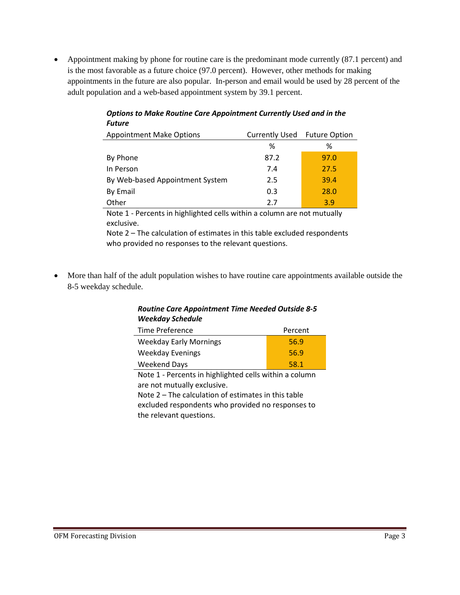• Appointment making by phone for routine care is the predominant mode currently (87.1 percent) and is the most favorable as a future choice (97.0 percent). However, other methods for making appointments in the future are also popular. In-person and email would be used by 28 percent of the adult population and a web-based appointment system by 39.1 percent.

| , , , , , ,                     |                       |                      |  |
|---------------------------------|-----------------------|----------------------|--|
| <b>Appointment Make Options</b> | <b>Currently Used</b> | <b>Future Option</b> |  |
|                                 | ℅                     | ℅                    |  |
| By Phone                        | 87.2                  | 97.0                 |  |
| In Person                       | 7.4                   | 27.5                 |  |
| By Web-based Appointment System | 2.5                   | 39.4                 |  |
| By Email                        | 0.3                   | 28.0                 |  |
| Other                           | 2.7                   | 3.9                  |  |

*Options to Make Routine Care Appointment Currently Used and in the Future*

Note 1 - Percents in highlighted cells within a column are not mutually exclusive.

Note 2 – The calculation of estimates in this table excluded respondents who provided no responses to the relevant questions.

• More than half of the adult population wishes to have routine care appointments available outside the 8-5 weekday schedule.

# *Routine Care Appointment Time Needed Outside 8-5 Weekday Schedule*

| Time Preference               | Percent |
|-------------------------------|---------|
| <b>Weekday Early Mornings</b> | 56.9    |
| <b>Weekday Evenings</b>       | 56.9    |
| Weekend Days                  | 58.1    |

Note 1 - Percents in highlighted cells within a column are not mutually exclusive. Note 2 – The calculation of estimates in this table

excluded respondents who provided no responses to the relevant questions.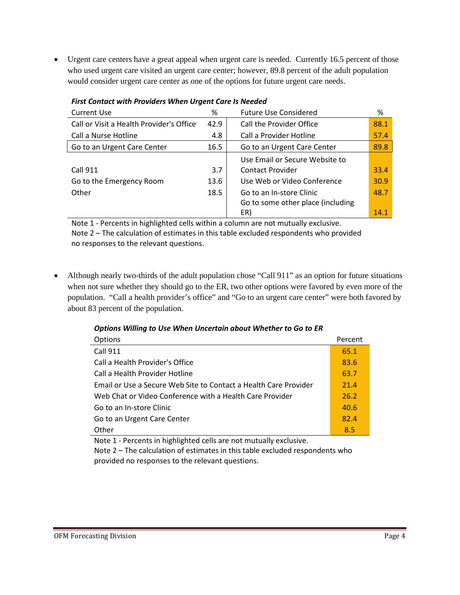• Urgent care centers have a great appeal when urgent care is needed. Currently 16.5 percent of those who used urgent care visited an urgent care center; however, 89.8 percent of the adult population would consider urgent care center as one of the options for future urgent care needs.

| <b>Current Use</b>                       | %    | <b>Future Use Considered</b>      | %    |
|------------------------------------------|------|-----------------------------------|------|
| Call or Visit a Health Provider's Office | 42.9 | Call the Provider Office          | 88.1 |
| Call a Nurse Hotline                     | 4.8  | Call a Provider Hotline           | 57.4 |
| Go to an Urgent Care Center              | 16.5 | Go to an Urgent Care Center       | 89.8 |
|                                          |      | Use Email or Secure Website to    |      |
| <b>Call 911</b>                          | 3.7  | <b>Contact Provider</b>           | 33.4 |
| Go to the Emergency Room                 | 13.6 | Use Web or Video Conference       | 30.9 |
| Other                                    | 18.5 | Go to an In-store Clinic          | 48.7 |
|                                          |      | Go to some other place (including |      |
|                                          |      | ER)                               | 14.1 |

*First Contact with Providers When Urgent Care Is Needed*

Note 1 - Percents in highlighted cells within a column are not mutually exclusive. Note 2 – The calculation of estimates in this table excluded respondents who provided

no responses to the relevant questions.

• Although nearly two-thirds of the adult population chose "Call 911" as an option for future situations when not sure whether they should go to the ER, two other options were favored by even more of the population. "Call a health provider's office" and "Go to an urgent care center" were both favored by about 83 percent of the population.

| Options Willing to Use When Uncertain about Whether to Go to ER |
|-----------------------------------------------------------------|
|-----------------------------------------------------------------|

| <b>Options</b>                                                   | Percent |
|------------------------------------------------------------------|---------|
| <b>Call 911</b>                                                  | 65.1    |
| Call a Health Provider's Office                                  | 83.6    |
| Call a Health Provider Hotline                                   | 63.7    |
| Email or Use a Secure Web Site to Contact a Health Care Provider | 21.4    |
| Web Chat or Video Conference with a Health Care Provider         | 26.2    |
| Go to an In-store Clinic                                         | 40.6    |
| Go to an Urgent Care Center                                      | 82.4    |
| Other                                                            | 8.5     |

Note 1 - Percents in highlighted cells are not mutually exclusive.

Note 2 – The calculation of estimates in this table excluded respondents who provided no responses to the relevant questions.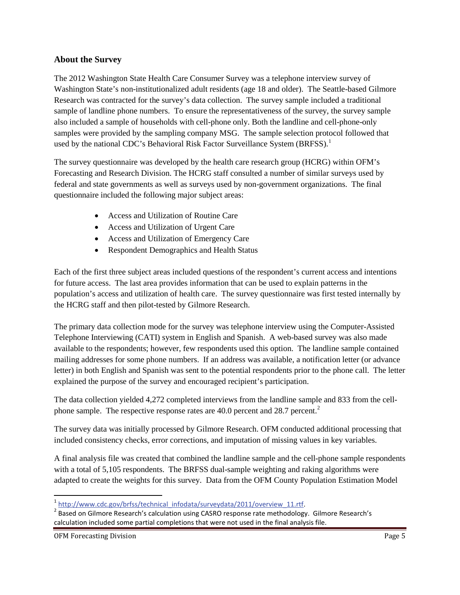# **About the Survey**

The 2012 Washington State Health Care Consumer Survey was a telephone interview survey of Washington State's non-institutionalized adult residents (age 18 and older). The Seattle-based Gilmore Research was contracted for the survey's data collection. The survey sample included a traditional sample of landline phone numbers. To ensure the representativeness of the survey, the survey sample also included a sample of households with cell-phone only. Both the landline and cell-phone-only samples were provided by the sampling company MSG. The sample selection protocol followed that used by the national CDC's Behavioral Risk Factor Surveillance System (BRFSS).<sup>[1](#page-13-0)</sup>

The survey questionnaire was developed by the health care research group (HCRG) within OFM's Forecasting and Research Division. The HCRG staff consulted a number of similar surveys used by federal and state governments as well as surveys used by non-government organizations. The final questionnaire included the following major subject areas:

- Access and Utilization of Routine Care
- Access and Utilization of Urgent Care
- Access and Utilization of Emergency Care
- Respondent Demographics and Health Status

Each of the first three subject areas included questions of the respondent's current access and intentions for future access. The last area provides information that can be used to explain patterns in the population's access and utilization of health care. The survey questionnaire was first tested internally by the HCRG staff and then pilot-tested by Gilmore Research.

The primary data collection mode for the survey was telephone interview using the Computer-Assisted Telephone Interviewing (CATI) system in English and Spanish. A web-based survey was also made available to the respondents; however, few respondents used this option. The landline sample contained mailing addresses for some phone numbers. If an address was available, a notification letter (or advance letter) in both English and Spanish was sent to the potential respondents prior to the phone call. The letter explained the purpose of the survey and encouraged recipient's participation.

The data collection yielded 4,272 completed interviews from the landline sample and 833 from the cellphone sample. The respective response rates are  $40.0$  percent and  $28.7$  $28.7$  percent.<sup>2</sup>

The survey data was initially processed by Gilmore Research. OFM conducted additional processing that included consistency checks, error corrections, and imputation of missing values in key variables.

A final analysis file was created that combined the landline sample and the cell-phone sample respondents with a total of 5,105 respondents. The BRFSS dual-sample weighting and raking algorithms were adapted to create the weights for this survey. Data from the OFM County Population Estimation Model

 $\overline{\phantom{a}}$ 

<span id="page-13-1"></span><span id="page-13-0"></span> $\frac{1}{2}$  [http://www.cdc.gov/brfss/technical\\_infodata/surveydata/2011/overview\\_11.rtf. 2](http://www.cdc.gov/brfss/technical_infodata/surveydata/2011/overview_11.rtf) Based on Gilmore Research's calculation using CASRO response rate methodology. Gilmore Research's calculation included some partial completions that were not used in the final analysis file.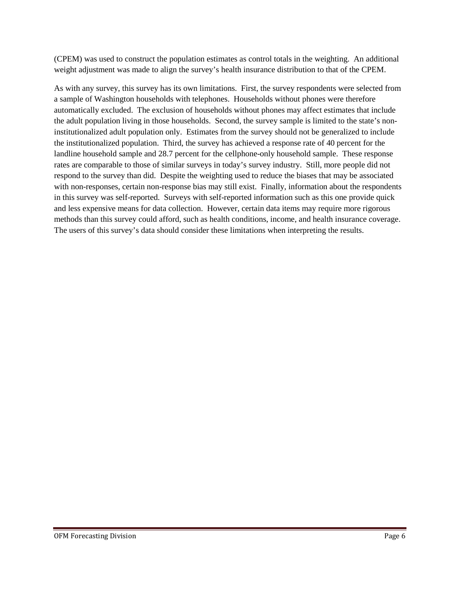(CPEM) was used to construct the population estimates as control totals in the weighting. An additional weight adjustment was made to align the survey's health insurance distribution to that of the CPEM.

As with any survey, this survey has its own limitations. First, the survey respondents were selected from a sample of Washington households with telephones. Households without phones were therefore automatically excluded. The exclusion of households without phones may affect estimates that include the adult population living in those households. Second, the survey sample is limited to the state's noninstitutionalized adult population only. Estimates from the survey should not be generalized to include the institutionalized population. Third, the survey has achieved a response rate of 40 percent for the landline household sample and 28.7 percent for the cellphone-only household sample. These response rates are comparable to those of similar surveys in today's survey industry. Still, more people did not respond to the survey than did. Despite the weighting used to reduce the biases that may be associated with non-responses, certain non-response bias may still exist. Finally, information about the respondents in this survey was self-reported. Surveys with self-reported information such as this one provide quick and less expensive means for data collection. However, certain data items may require more rigorous methods than this survey could afford, such as health conditions, income, and health insurance coverage. The users of this survey's data should consider these limitations when interpreting the results.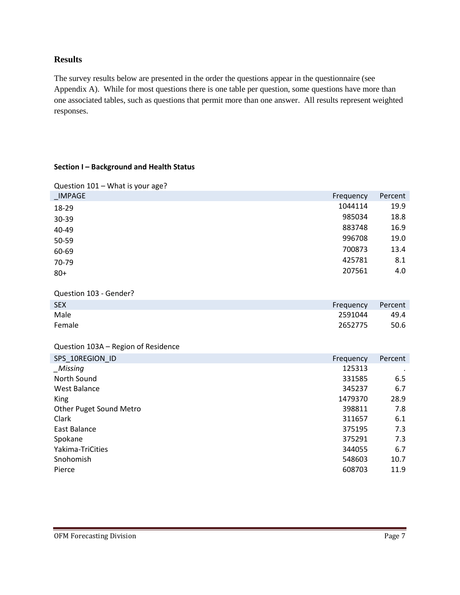# **Results**

The survey results below are presented in the order the questions appear in the questionnaire (see Appendix A). While for most questions there is one table per question, some questions have more than one associated tables, such as questions that permit more than one answer. All results represent weighted responses.

### **Section I – Background and Health Status**

| Question 101 - What is your age?    |                  |             |
|-------------------------------------|------------------|-------------|
| <b>IMPAGE</b>                       | Frequency        | Percent     |
| 18-29                               | 1044114          | 19.9        |
| 30-39                               | 985034           | 18.8        |
| 40-49                               | 883748           | 16.9        |
| 50-59                               | 996708           | 19.0        |
| 60-69                               | 700873           | 13.4        |
| 70-79                               | 425781           | 8.1         |
| $80 +$                              | 207561           | 4.0         |
|                                     |                  |             |
| Question 103 - Gender?              |                  |             |
| <b>SEX</b>                          | Frequency        | Percent     |
| Male                                | 2591044          | 49.4        |
| Female                              | 2652775          | 50.6        |
|                                     |                  |             |
| Question 103A - Region of Residence |                  |             |
| SPS 10REGION ID                     | Frequency        | Percent     |
| _Missing                            | 125313           |             |
| North Sound                         | 331585           | 6.5         |
| <b>West Balance</b>                 | 345237           | 6.7         |
| King                                | 1479370          | 28.9        |
| Other Puget Sound Metro             | 398811           | 7.8         |
| Clark                               | 311657           | 6.1         |
| <b>East Balance</b>                 | 375195           | 7.3         |
| Spokane                             | 375291           | 7.3         |
| Yakima-TriCities                    | 344055           | 6.7<br>10.7 |
| Snohomish                           |                  |             |
| Pierce                              | 548603<br>608703 | 11.9        |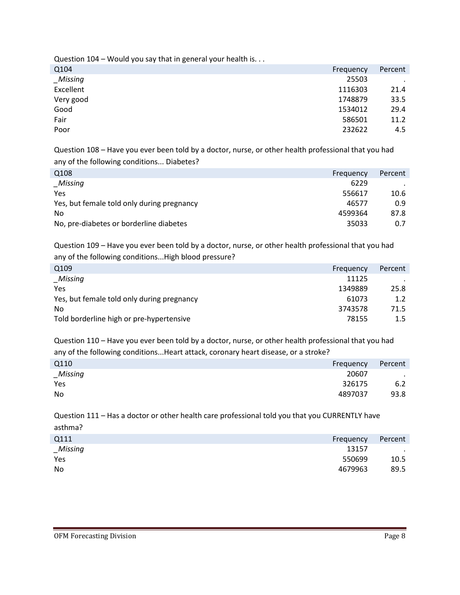Question 104 – Would you say that in general your health is. . .

| Q104      | Frequency | Percent |
|-----------|-----------|---------|
| _Missing  | 25503     | $\cdot$ |
| Excellent | 1116303   | 21.4    |
| Very good | 1748879   | 33.5    |
| Good      | 1534012   | 29.4    |
| Fair      | 586501    | 11.2    |
| Poor      | 232622    | 4.5     |

Question 108 – Have you ever been told by a doctor, nurse, or other health professional that you had any of the following conditions... Diabetes?

| Q <sub>108</sub>                           | Frequency | Percent |
|--------------------------------------------|-----------|---------|
| _Missing                                   | 6229      |         |
| Yes                                        | 556617    | 10.6    |
| Yes, but female told only during pregnancy | 46577     | 0.9     |
| <b>No</b>                                  | 4599364   | 87.8    |
| No, pre-diabetes or borderline diabetes    | 35033     | 0.7     |
|                                            |           |         |

Question 109 – Have you ever been told by a doctor, nurse, or other health professional that you had any of the following conditions...High blood pressure?

| Q <sub>109</sub>                           | Frequency | Percent |
|--------------------------------------------|-----------|---------|
| Missing                                    | 11125     |         |
| Yes                                        | 1349889   | 25.8    |
| Yes, but female told only during pregnancy | 61073     | 1.2     |
| No                                         | 3743578   | 71.5    |
| Told borderline high or pre-hypertensive   | 78155     | $1.5\,$ |
|                                            |           |         |

Question 110 – Have you ever been told by a doctor, nurse, or other health professional that you had any of the following conditions...Heart attack, coronary heart disease, or a stroke?

| Q110     | Frequency | Percent |
|----------|-----------|---------|
| _Missing | 20607     | $\sim$  |
| Yes      | 326175    | 6.2     |
| No       | 4897037   | 93.8    |

Question 111 – Has a doctor or other health care professional told you that you CURRENTLY have asthma?

| Q111      | Frequency | Percent |
|-----------|-----------|---------|
| _Missing  | 13157     | $\sim$  |
| Yes       | 550699    | 10.5    |
| <b>No</b> | 4679963   | 89.5    |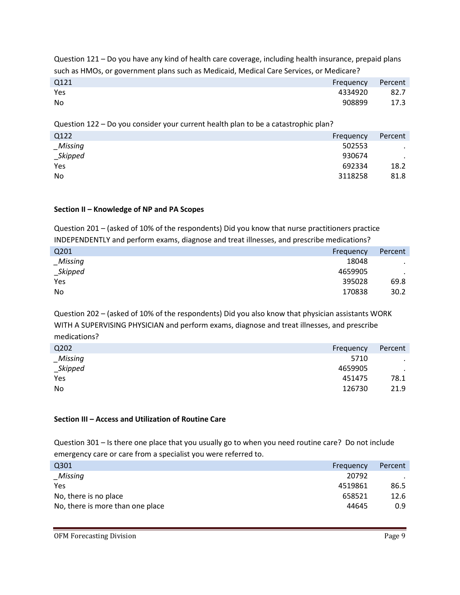Question 121 – Do you have any kind of health care coverage, including health insurance, prepaid plans such as HMOs, or government plans such as Medicaid, Medical Care Services, or Medicare?

| Q121 | Frequency | Percent |
|------|-----------|---------|
| Yes  | 4334920   | 82.7    |
| No   | 908899    | 17.3    |

Question 122 – Do you consider your current health plan to be a catastrophic plan?

| Q122     | Frequency | Percent |
|----------|-----------|---------|
| Missing  | 502553    | $\cdot$ |
| _Skipped | 930674    | $\cdot$ |
| Yes      | 692334    | 18.2    |
| No       | 3118258   | 81.8    |

### **Section II – Knowledge of NP and PA Scopes**

Question 201 – (asked of 10% of the respondents) Did you know that nurse practitioners practice INDEPENDENTLY and perform exams, diagnose and treat illnesses, and prescribe medications?

| Q201     | Frequency | Percent |
|----------|-----------|---------|
| Missing  | 18048     | $\cdot$ |
| _Skipped | 4659905   | $\cdot$ |
| Yes      | 395028    | 69.8    |
| No       | 170838    | 30.2    |
|          |           |         |

Question 202 – (asked of 10% of the respondents) Did you also know that physician assistants WORK WITH A SUPERVISING PHYSICIAN and perform exams, diagnose and treat illnesses, and prescribe medications?

| Q202           | Frequency | Percent |
|----------------|-----------|---------|
| Missing        | 5710      | $\cdot$ |
| _Skipped       | 4659905   | $\cdot$ |
| Yes            | 451475    | 78.1    |
| N <sub>0</sub> | 126730    | 21.9    |
|                |           |         |

### **Section III – Access and Utilization of Routine Care**

Question 301 – Is there one place that you usually go to when you need routine care? Do not include emergency care or care from a specialist you were referred to.

| Q301                             | Frequency | Percent |
|----------------------------------|-----------|---------|
| Missing                          | 20792     |         |
| Yes                              | 4519861   | 86.5    |
| No, there is no place            | 658521    | 12.6    |
| No, there is more than one place | 44645     | 0.9     |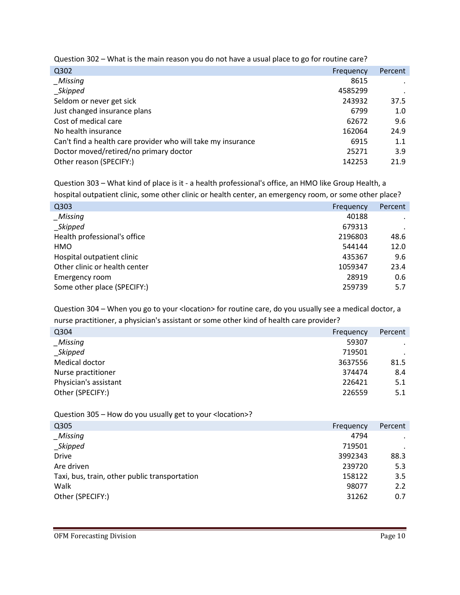Question 302 – What is the main reason you do not have a usual place to go for routine care?

| Q302                                                         | Frequency | Percent |
|--------------------------------------------------------------|-----------|---------|
| Missing                                                      | 8615      |         |
| _Skipped                                                     | 4585299   |         |
| Seldom or never get sick                                     | 243932    | 37.5    |
| Just changed insurance plans                                 | 6799      | 1.0     |
| Cost of medical care                                         | 62672     | 9.6     |
| No health insurance                                          | 162064    | 24.9    |
| Can't find a health care provider who will take my insurance | 6915      | 1.1     |
| Doctor moved/retired/no primary doctor                       | 25271     | 3.9     |
| Other reason (SPECIFY:)                                      | 142253    | 21.9    |
|                                                              |           |         |

Question 303 – What kind of place is it - a health professional's office, an HMO like Group Health, a

hospital outpatient clinic, some other clinic or health center, an emergency room, or some other place?

| Q303                          | Frequency | Percent |
|-------------------------------|-----------|---------|
| Missing                       | 40188     |         |
| Skipped                       | 679313    |         |
| Health professional's office  | 2196803   | 48.6    |
| HMO                           | 544144    | 12.0    |
| Hospital outpatient clinic    | 435367    | 9.6     |
| Other clinic or health center | 1059347   | 23.4    |
| Emergency room                | 28919     | 0.6     |
| Some other place (SPECIFY:)   | 259739    | 5.7     |
|                               |           |         |

Question 304 – When you go to your < location> for routine care, do you usually see a medical doctor, a nurse practitioner, a physician's assistant or some other kind of health care provider?

| Q304                  | Frequency | Percent |
|-----------------------|-----------|---------|
| <b>Missing</b>        | 59307     | $\cdot$ |
| _Skipped              | 719501    |         |
| Medical doctor        | 3637556   | 81.5    |
| Nurse practitioner    | 374474    | 8.4     |
| Physician's assistant | 226421    | 5.1     |
| Other (SPECIFY:)      | 226559    | 5.1     |

Question 305 – How do you usually get to your <location>?

| Q305                                          | Frequency | Percent   |
|-----------------------------------------------|-----------|-----------|
| Missing                                       | 4794      | $\bullet$ |
| _Skipped                                      | 719501    | $\cdot$   |
| <b>Drive</b>                                  | 3992343   | 88.3      |
| Are driven                                    | 239720    | 5.3       |
| Taxi, bus, train, other public transportation | 158122    | 3.5       |
| Walk                                          | 98077     | 2.2       |
| Other (SPECIFY:)                              | 31262     | 0.7       |
|                                               |           |           |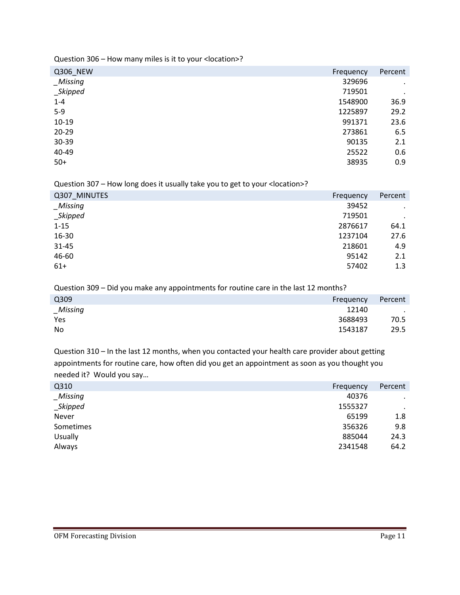Question 306 – How many miles is it to your <location>?

| Percent   |
|-----------|
| $\bullet$ |
| $\bullet$ |
| 36.9      |
| 29.2      |
| 23.6      |
| 6.5       |
| 2.1       |
| 0.6       |
| 0.9       |
|           |

Question 307 – How long does it usually take you to get to your <location>?

| Q307_MINUTES | Frequency | Percent   |
|--------------|-----------|-----------|
| $\_Missing$  | 39452     | $\bullet$ |
| $\_Skipped$  | 719501    | $\bullet$ |
| $1 - 15$     | 2876617   | 64.1      |
| 16-30        | 1237104   | 27.6      |
| $31 - 45$    | 218601    | 4.9       |
| 46-60        | 95142     | 2.1       |
| $61+$        | 57402     | 1.3       |

Question 309 – Did you make any appointments for routine care in the last 12 months?

| Q309     | Frequency | Percent   |
|----------|-----------|-----------|
| _Missing | 12140     | $\bullet$ |
| Yes      | 3688493   | 70.5      |
| No       | 1543187   | 29.5      |
|          |           |           |

Question 310 – In the last 12 months, when you contacted your health care provider about getting appointments for routine care, how often did you get an appointment as soon as you thought you needed it? Would you say…

| Q310           | Frequency | Percent   |
|----------------|-----------|-----------|
| Missing        | 40376     | $\cdot$   |
| $\_Skipped$    | 1555327   | $\bullet$ |
| Never          | 65199     | 1.8       |
| Sometimes      | 356326    | 9.8       |
| <b>Usually</b> | 885044    | 24.3      |
| Always         | 2341548   | 64.2      |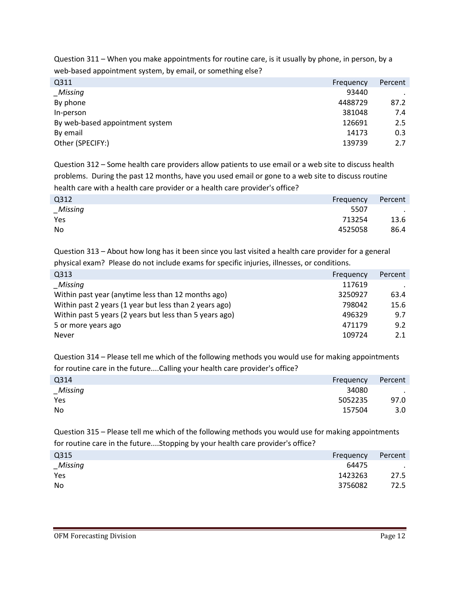Question 311 – When you make appointments for routine care, is it usually by phone, in person, by a web-based appointment system, by email, or something else?

| Q311                            | Frequency | Percent |
|---------------------------------|-----------|---------|
| _Missing                        | 93440     |         |
| By phone                        | 4488729   | 87.2    |
| In-person                       | 381048    | 7.4     |
| By web-based appointment system | 126691    | 2.5     |
| By email                        | 14173     | 0.3     |
| Other (SPECIFY:)                | 139739    | 2.7     |

Question 312 – Some health care providers allow patients to use email or a web site to discuss health problems. During the past 12 months, have you used email or gone to a web site to discuss routine health care with a health care provider or a health care provider's office?

| Q312        | Frequency | Percent |
|-------------|-----------|---------|
| $\_Missing$ | 5507      | $\sim$  |
| Yes         | 713254    | 13.6    |
| No          | 4525058   | 86.4    |

Question 313 – About how long has it been since you last visited a health care provider for a general physical exam? Please do not include exams for specific injuries, illnesses, or conditions.

| Q313                                                    | Frequency | Percent |
|---------------------------------------------------------|-----------|---------|
| Missing                                                 | 117619    |         |
| Within past year (anytime less than 12 months ago)      | 3250927   | 63.4    |
| Within past 2 years (1 year but less than 2 years ago)  | 798042    | 15.6    |
| Within past 5 years (2 years but less than 5 years ago) | 496329    | 9.7     |
| 5 or more years ago                                     | 471179    | 9.2     |
| <b>Never</b>                                            | 109724    | 2.1     |

Question 314 – Please tell me which of the following methods you would use for making appointments for routine care in the future....Calling your health care provider's office?

| Q314        | Frequency | Percent          |
|-------------|-----------|------------------|
| $\_Missing$ | 34080     | $\cdot$          |
| Yes         | 5052235   | 97.0             |
| No          | 157504    | 3.0 <sub>1</sub> |

Question 315 – Please tell me which of the following methods you would use for making appointments for routine care in the future....Stopping by your health care provider's office?

| Q315<br>Frequency    | Percent          |
|----------------------|------------------|
| _Missing<br>64475    | $\sim$ 100 $\mu$ |
| Yes<br>1423263       | 27.5             |
| <b>No</b><br>3756082 | 72.5             |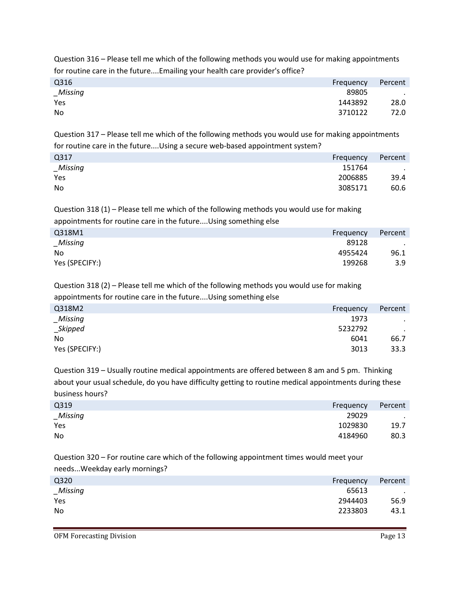Question 316 – Please tell me which of the following methods you would use for making appointments for routine care in the future....Emailing your health care provider's office?

| Q316        | Frequency | Percent |
|-------------|-----------|---------|
| $\_Missing$ | 89805     | $\sim$  |
| Yes         | 1443892   | 28.0    |
| No          | 3710122   | 72.0    |

Question 317 – Please tell me which of the following methods you would use for making appointments for routine care in the future....Using a secure web-based appointment system?

| Q317     | Frequency | Percent |
|----------|-----------|---------|
| _Missing | 151764    | $\cdot$ |
| Yes      | 2006885   | 39.4    |
| No       | 3085171   | 60.6    |

Question 318 (1) – Please tell me which of the following methods you would use for making appointments for routine care in the future....Using something else

| Q318M1         | Frequency | Percent |
|----------------|-----------|---------|
| Missing        | 89128     | $\cdot$ |
| No.            | 4955424   | 96.1    |
| Yes (SPECIFY:) | 199268    | 3.9     |

Question 318 (2) – Please tell me which of the following methods you would use for making appointments for routine care in the future....Using something else

| Q318M2         | Frequency | Percent |
|----------------|-----------|---------|
| Missing        | 1973      | $\cdot$ |
| _Skipped       | 5232792   | $\cdot$ |
| No.            | 6041      | 66.7    |
| Yes (SPECIFY:) | 3013      | 33.3    |

Question 319 – Usually routine medical appointments are offered between 8 am and 5 pm. Thinking about your usual schedule, do you have difficulty getting to routine medical appointments during these business hours?

| Q319    | Frequency | Percent |
|---------|-----------|---------|
| Missing | 29029     | $\sim$  |
| Yes     | 1029830   | 19.7    |
| No      | 4184960   | 80.3    |

Question 320 – For routine care which of the following appointment times would meet your needs...Weekday early mornings?

| Q320        | Frequency | Percent   |
|-------------|-----------|-----------|
| $\_Missing$ | 65613     | $\cdot$ . |
| Yes         | 2944403   | 56.9      |
| No          | 2233803   | 43.1      |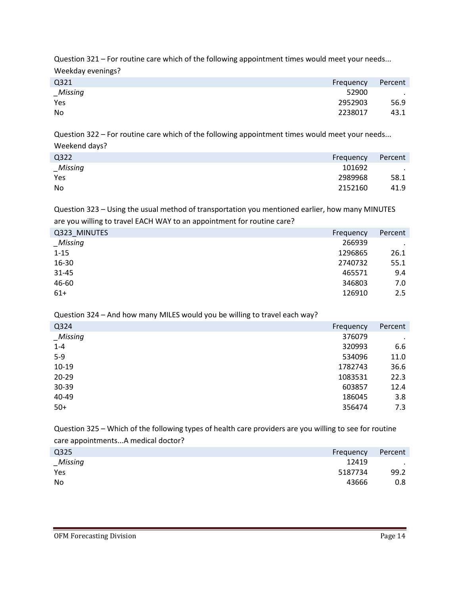Question 321 – For routine care which of the following appointment times would meet your needs... Weekday evenings?

| Q321        | Frequency | Percent |
|-------------|-----------|---------|
| $\_Missing$ | 52900     | $\cdot$ |
| Yes         | 2952903   | 56.9    |
| No          | 2238017   | 43.1    |

Question 322 – For routine care which of the following appointment times would meet your needs... Weekend days?

| Q322     | Frequency | Percent |
|----------|-----------|---------|
| _Missing | 101692    | $\cdot$ |
| Yes      | 2989968   | 58.1    |
| No       | 2152160   | 41.9    |
|          |           |         |

Question 323 – Using the usual method of transportation you mentioned earlier, how many MINUTES are you willing to travel EACH WAY to an appointment for routine care?

| Q323_MINUTES | Frequency | Percent |
|--------------|-----------|---------|
| Missing      | 266939    | $\cdot$ |
| $1 - 15$     | 1296865   | 26.1    |
| 16-30        | 2740732   | 55.1    |
| $31 - 45$    | 465571    | 9.4     |
| 46-60        | 346803    | 7.0     |
| $61+$        | 126910    | 2.5     |

Question 324 – And how many MILES would you be willing to travel each way?

| Q324        | Frequency | Percent |
|-------------|-----------|---------|
| $_M$ issing | 376079    | $\cdot$ |
| $1 - 4$     | 320993    | 6.6     |
| $5-9$       | 534096    | 11.0    |
| $10-19$     | 1782743   | 36.6    |
| $20 - 29$   | 1083531   | 22.3    |
| 30-39       | 603857    | 12.4    |
| 40-49       | 186045    | 3.8     |
| $50+$       | 356474    | 7.3     |
|             |           |         |

Question 325 – Which of the following types of health care providers are you willing to see for routine care appointments...A medical doctor?

| Percent<br>Frequency |
|----------------------|
| 12419<br>$\bullet$   |
| 99.2<br>5187734      |
| 43666<br>$0.8\,$     |
|                      |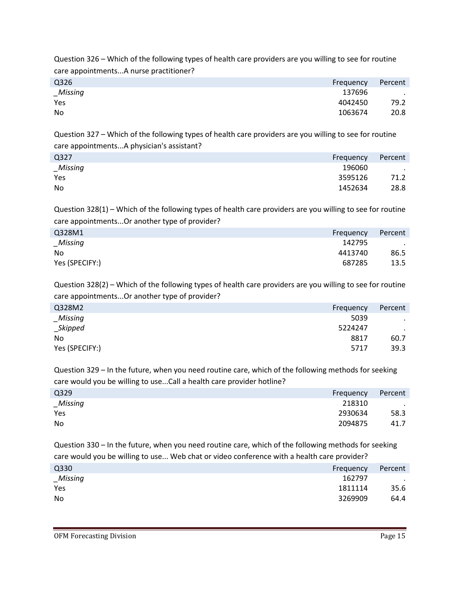Question 326 – Which of the following types of health care providers are you willing to see for routine care appointments...A nurse practitioner?

| Q <sub>326</sub> | Frequency | Percent   |
|------------------|-----------|-----------|
| _Missing         | 137696    | $\bullet$ |
| Yes              | 4042450   | 79.2      |
| No               | 1063674   | 20.8      |

Question 327 – Which of the following types of health care providers are you willing to see for routine care appointments...A physician's assistant?

| Q327     | Frequency | Percent |
|----------|-----------|---------|
| _Missing | 196060    | $\cdot$ |
| Yes      | 3595126   | 71.2    |
| No       | 1452634   | 28.8    |

Question 328(1) – Which of the following types of health care providers are you willing to see for routine care appointments...Or another type of provider?

| Q328M1         | Frequency | Percent |
|----------------|-----------|---------|
| Missing        | 142795    | $\sim$  |
| No             | 4413740   | 86.5    |
| Yes (SPECIFY:) | 687285    | 13.5    |

Question 328(2) – Which of the following types of health care providers are you willing to see for routine care appointments...Or another type of provider?

| Q328M2         | Frequency | Percent |
|----------------|-----------|---------|
| Missing        | 5039      |         |
| _Skipped       | 5224247   | $\cdot$ |
| No.            | 8817      | 60.7    |
| Yes (SPECIFY:) | 5717      | 39.3    |
|                |           |         |

Question 329 – In the future, when you need routine care, which of the following methods for seeking care would you be willing to use...Call a health care provider hotline?

| Q329      | Frequency | Percent |
|-----------|-----------|---------|
| _Missing  | 218310    | $\cdot$ |
| Yes       | 2930634   | 58.3    |
| <b>No</b> | 2094875   | 41.7    |

Question 330 – In the future, when you need routine care, which of the following methods for seeking care would you be willing to use... Web chat or video conference with a health care provider?

| Q330     | Frequency | Percent |
|----------|-----------|---------|
| _Missing | 162797    | $\cdot$ |
| Yes      | 1811114   | 35.6    |
| No.      | 3269909   | 64.4    |
|          |           |         |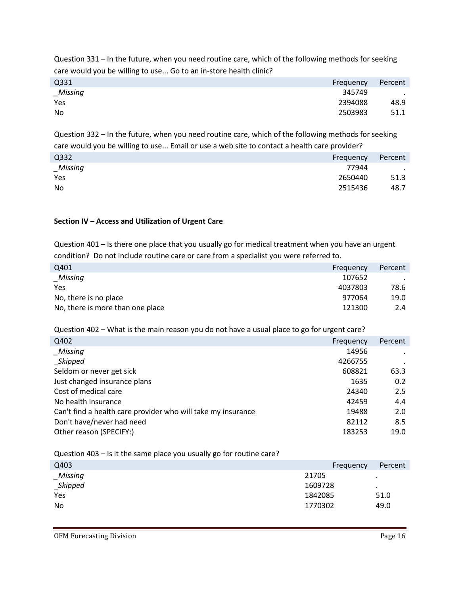Question 331 – In the future, when you need routine care, which of the following methods for seeking care would you be willing to use... Go to an in-store health clinic?

| Q331     | Frequency | Percent          |
|----------|-----------|------------------|
| _Missing | 345749    | $\sim$ 100 $\pm$ |
| Yes      | 2394088   | 48.9             |
| No       | 2503983   | 51.1             |

Question 332 – In the future, when you need routine care, which of the following methods for seeking care would you be willing to use... Email or use a web site to contact a health care provider?

| Q332        | Frequency | Percent       |
|-------------|-----------|---------------|
| $\_Missing$ | 77944     | $\sim$ $\sim$ |
| Yes         | 2650440   | 51.3          |
| No          | 2515436   | 48.7          |

### **Section IV – Access and Utilization of Urgent Care**

Question 401 – Is there one place that you usually go for medical treatment when you have an urgent condition? Do not include routine care or care from a specialist you were referred to.

| Q401                             | Frequency | Percent |
|----------------------------------|-----------|---------|
| $\_Missing$                      | 107652    |         |
| Yes                              | 4037803   | 78.6    |
| No, there is no place            | 977064    | 19.0    |
| No, there is more than one place | 121300    | 2.4     |

Question 402 – What is the main reason you do not have a usual place to go for urgent care?

| Q402                                                         | Frequency | Percent |
|--------------------------------------------------------------|-----------|---------|
| Missing                                                      | 14956     |         |
| _Skipped                                                     | 4266755   |         |
| Seldom or never get sick                                     | 608821    | 63.3    |
| Just changed insurance plans                                 | 1635      | 0.2     |
| Cost of medical care                                         | 24340     | 2.5     |
| No health insurance                                          | 42459     | 4.4     |
| Can't find a health care provider who will take my insurance | 19488     | 2.0     |
| Don't have/never had need                                    | 82112     | 8.5     |
| Other reason (SPECIFY:)                                      | 183253    | 19.0    |
|                                                              |           |         |

Question 403 – Is it the same place you usually go for routine care?

| Q403         | Frequency | Percent   |
|--------------|-----------|-----------|
| Missing      | 21705     | $\bullet$ |
| $\_$ Skipped | 1609728   | $\cdot$   |
| Yes          | 1842085   | 51.0      |
| No           | 1770302   | 49.0      |
|              |           |           |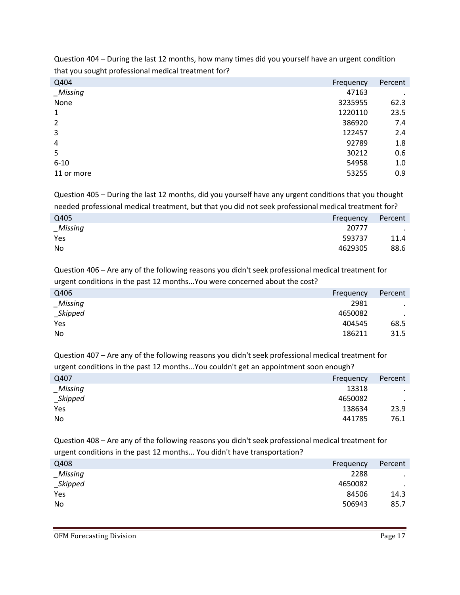| that you sought professional incuication treatment for a |           |         |
|----------------------------------------------------------|-----------|---------|
| Q404                                                     | Frequency | Percent |
| $_M$ issing                                              | 47163     | ٠       |
| None                                                     | 3235955   | 62.3    |
| 1                                                        | 1220110   | 23.5    |
| $\overline{2}$                                           | 386920    | 7.4     |
| 3                                                        | 122457    | 2.4     |
| 4                                                        | 92789     | 1.8     |
| 5                                                        | 30212     | 0.6     |
| $6 - 10$                                                 | 54958     | 1.0     |
| 11 or more                                               | 53255     | 0.9     |
|                                                          |           |         |

Question 404 – During the last 12 months, how many times did you yourself have an urgent condition that you sought professional medical treatment for?

Question 405 – During the last 12 months, did you yourself have any urgent conditions that you thought needed professional medical treatment, but that you did not seek professional medical treatment for?

| Q405        | Frequency | Percent |
|-------------|-----------|---------|
| $\_Missing$ | 20777     | $\sim$  |
| Yes         | 593737    | 11.4    |
| No          | 4629305   | 88.6    |

Question 406 – Are any of the following reasons you didn't seek professional medical treatment for urgent conditions in the past 12 months...You were concerned about the cost?

| Q406           | Frequency | Percent   |
|----------------|-----------|-----------|
| <b>Missing</b> | 2981      | $\bullet$ |
| $\_$ Skipped   | 4650082   | $\sim$    |
| Yes            | 404545    | 68.5      |
| No             | 186211    | 31.5      |
|                |           |           |

Question 407 – Are any of the following reasons you didn't seek professional medical treatment for urgent conditions in the past 12 months...You couldn't get an appointment soon enough?

| Q407           | Frequency | Percent   |
|----------------|-----------|-----------|
| <b>Missing</b> | 13318     | $\bullet$ |
| _Skipped       | 4650082   | $\cdot$   |
| Yes            | 138634    | 23.9      |
| No             | 441785    | 76.1      |
|                |           |           |

Question 408 – Are any of the following reasons you didn't seek professional medical treatment for urgent conditions in the past 12 months... You didn't have transportation?

| Q408           | Frequency | Percent   |
|----------------|-----------|-----------|
| <b>Missing</b> | 2288      | $\bullet$ |
| $\_$ Skipped   | 4650082   | $\bullet$ |
| Yes            | 84506     | 14.3      |
| No             | 506943    | 85.7      |
|                |           |           |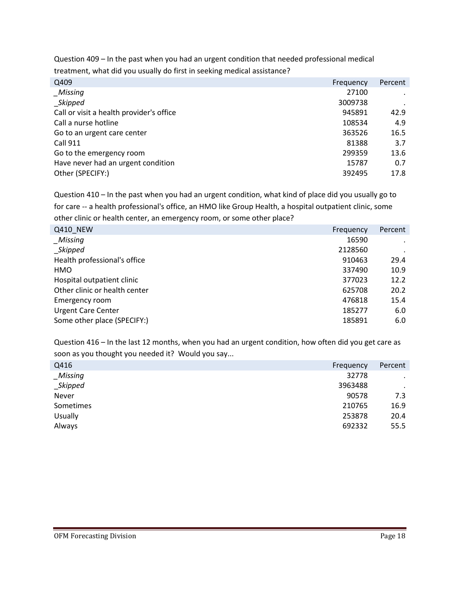Question 409 – In the past when you had an urgent condition that needed professional medical treatment, what did you usually do first in seeking medical assistance?

| Q409                                     | Frequency | Percent |
|------------------------------------------|-----------|---------|
| _Missing                                 | 27100     |         |
| _Skipped                                 | 3009738   |         |
| Call or visit a health provider's office | 945891    | 42.9    |
| Call a nurse hotline                     | 108534    | 4.9     |
| Go to an urgent care center              | 363526    | 16.5    |
| <b>Call 911</b>                          | 81388     | 3.7     |
| Go to the emergency room                 | 299359    | 13.6    |
| Have never had an urgent condition       | 15787     | 0.7     |
| Other (SPECIFY:)                         | 392495    | 17.8    |
|                                          |           |         |

Question 410 – In the past when you had an urgent condition, what kind of place did you usually go to for care -- a health professional's office, an HMO like Group Health, a hospital outpatient clinic, some other clinic or health center, an emergency room, or some other place?

| Q410 NEW                      | Frequency | Percent |
|-------------------------------|-----------|---------|
| Missing                       | 16590     |         |
| Skipped                       | 2128560   |         |
| Health professional's office  | 910463    | 29.4    |
| HMO                           | 337490    | 10.9    |
| Hospital outpatient clinic    | 377023    | 12.2    |
| Other clinic or health center | 625708    | 20.2    |
| Emergency room                | 476818    | 15.4    |
| <b>Urgent Care Center</b>     | 185277    | 6.0     |
| Some other place (SPECIFY:)   | 185891    | 6.0     |

Question 416 – In the last 12 months, when you had an urgent condition, how often did you get care as soon as you thought you needed it? Would you say...

| Q416           | Frequency | Percent   |
|----------------|-----------|-----------|
| _Missing       | 32778     | $\cdot$   |
| _Skipped       | 3963488   | $\bullet$ |
| Never          | 90578     | 7.3       |
| Sometimes      | 210765    | 16.9      |
| <b>Usually</b> | 253878    | 20.4      |
| Always         | 692332    | 55.5      |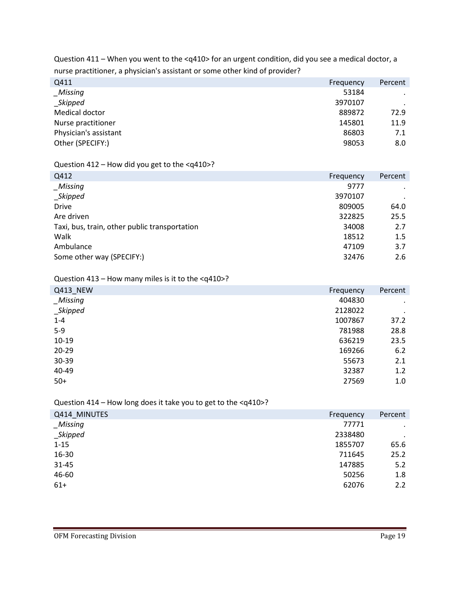Question 411 – When you went to the <q410> for an urgent condition, did you see a medical doctor, a nurse practitioner, a physician's assistant or some other kind of provider?

| Q411                  | Frequency | Percent |
|-----------------------|-----------|---------|
| <b>Missing</b>        | 53184     | $\cdot$ |
| _Skipped              | 3970107   |         |
| Medical doctor        | 889872    | 72.9    |
| Nurse practitioner    | 145801    | 11.9    |
| Physician's assistant | 86803     | 7.1     |
| Other (SPECIFY:)      | 98053     | 8.0     |
|                       |           |         |

# Question 412 – How did you get to the <q410>?

| Q412                                          | Frequency | Percent |
|-----------------------------------------------|-----------|---------|
| _Missing                                      | 9777      | $\cdot$ |
| _Skipped                                      | 3970107   | $\cdot$ |
| <b>Drive</b>                                  | 809005    | 64.0    |
| Are driven                                    | 322825    | 25.5    |
| Taxi, bus, train, other public transportation | 34008     | 2.7     |
| Walk                                          | 18512     | 1.5     |
| Ambulance                                     | 47109     | 3.7     |
| Some other way (SPECIFY:)                     | 32476     | 2.6     |

# Question 413 – How many miles is it to the <q410>?

| Q413_NEW     | Frequency | Percent   |
|--------------|-----------|-----------|
| $_M$ Missing | 404830    | $\bullet$ |
| $\_$ Skipped | 2128022   | $\bullet$ |
| $1 - 4$      | 1007867   | 37.2      |
| $5-9$        | 781988    | 28.8      |
| $10-19$      | 636219    | 23.5      |
| $20 - 29$    | 169266    | 6.2       |
| 30-39        | 55673     | 2.1       |
| 40-49        | 32387     | 1.2       |
| $50+$        | 27569     | 1.0       |

### Question 414 – How long does it take you to get to the <q410>?

| Q414 MINUTES | Frequency | Percent   |
|--------------|-----------|-----------|
| $_M$ Missing | 77771     | $\bullet$ |
| $\_Skipped$  | 2338480   | $\cdot$   |
| $1 - 15$     | 1855707   | 65.6      |
| 16-30        | 711645    | 25.2      |
| 31-45        | 147885    | 5.2       |
| 46-60        | 50256     | 1.8       |
| $61+$        | 62076     | 2.2       |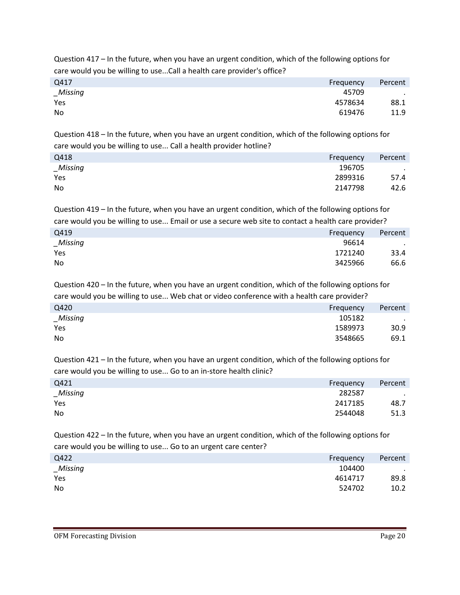Question 417 – In the future, when you have an urgent condition, which of the following options for care would you be willing to use...Call a health care provider's office?

| Q417        | Frequency | Percent |
|-------------|-----------|---------|
| $\_Missing$ | 45709     | $\cdot$ |
| Yes         | 4578634   | 88.1    |
| No          | 619476    | 11.9    |

Question 418 – In the future, when you have an urgent condition, which of the following options for care would you be willing to use... Call a health provider hotline?

| Q418     | Frequency | Percent |
|----------|-----------|---------|
| _Missing | 196705    | $\sim$  |
| Yes      | 2899316   | 57.4    |
| No       | 2147798   | 42.6    |

Question 419 – In the future, when you have an urgent condition, which of the following options for care would you be willing to use... Email or use a secure web site to contact a health care provider?

| Q419     | Frequency | Percent |
|----------|-----------|---------|
| _Missing | 96614     | $\sim$  |
| Yes      | 1721240   | 33.4    |
| No       | 3425966   | 66.6    |

Question 420 – In the future, when you have an urgent condition, which of the following options for care would you be willing to use... Web chat or video conference with a health care provider?

| Q420     | Frequency | Percent |
|----------|-----------|---------|
| _Missing | 105182    | $\sim$  |
| Yes      | 1589973   | 30.9    |
| No.      | 3548665   | 69.1    |

Question 421 – In the future, when you have an urgent condition, which of the following options for care would you be willing to use... Go to an in-store health clinic?

| Q421     | Frequency | Percent |
|----------|-----------|---------|
| _Missing | 282587    | $\sim$  |
| Yes      | 2417185   | 48.7    |
| No       | 2544048   | 51.3    |

Question 422 – In the future, when you have an urgent condition, which of the following options for care would you be willing to use... Go to an urgent care center?

| Q422<br>Frequency     | Percent   |
|-----------------------|-----------|
| 104400<br>$\_Missing$ | $\bullet$ |
| Yes<br>4614717        | 89.8      |
| No<br>524702          | 10.2      |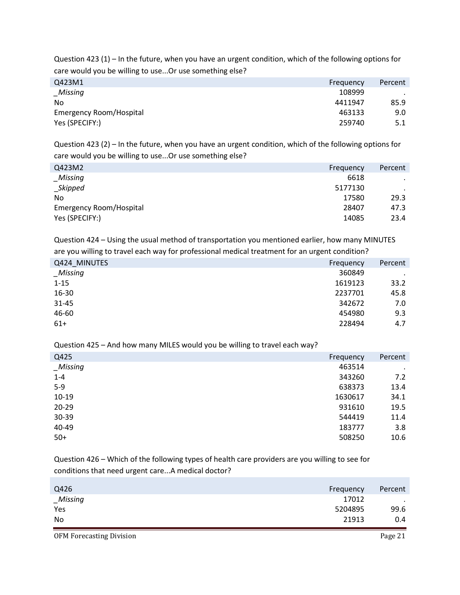Question 423 (1) – In the future, when you have an urgent condition, which of the following options for care would you be willing to use...Or use something else?

| Q423M1<br>Percent<br>Frequency    |      |
|-----------------------------------|------|
| 108999<br>$_M$ Missing            |      |
| 4411947<br>N <sub>0</sub>         | 85.9 |
| Emergency Room/Hospital<br>463133 | 9.0  |
| Yes (SPECIFY:)<br>259740          | 5.1  |

Question 423 (2) – In the future, when you have an urgent condition, which of the following options for care would you be willing to use...Or use something else?

| Q423M2                         | Frequency | Percent |
|--------------------------------|-----------|---------|
| Missing                        | 6618      | $\cdot$ |
| _Skipped                       | 5177130   |         |
| N <sub>0</sub>                 | 17580     | 29.3    |
| <b>Emergency Room/Hospital</b> | 28407     | 47.3    |
| Yes (SPECIFY:)                 | 14085     | 23.4    |

Question 424 – Using the usual method of transportation you mentioned earlier, how many MINUTES are you willing to travel each way for professional medical treatment for an urgent condition?

| Q424 MINUTES | Frequency | Percent   |
|--------------|-----------|-----------|
| _Missing     | 360849    | $\bullet$ |
| $1 - 15$     | 1619123   | 33.2      |
| 16-30        | 2237701   | 45.8      |
| 31-45        | 342672    | 7.0       |
| 46-60        | 454980    | 9.3       |
| $61+$        | 228494    | 4.7       |

Question 425 – And how many MILES would you be willing to travel each way?

| Q425        | Frequency | Percent |
|-------------|-----------|---------|
| $_M$ issing | 463514    | $\cdot$ |
| $1 - 4$     | 343260    | 7.2     |
| $5-9$       | 638373    | 13.4    |
| 10-19       | 1630617   | 34.1    |
| 20-29       | 931610    | 19.5    |
| 30-39       | 544419    | 11.4    |
| 40-49       | 183777    | 3.8     |
| $50+$       | 508250    | 10.6    |

Question 426 – Which of the following types of health care providers are you willing to see for conditions that need urgent care...A medical doctor?

| Q426           | Frequency | Percent |
|----------------|-----------|---------|
| <b>Missing</b> | 17012     | ٠       |
| Yes            | 5204895   | 99.6    |
| No             | 21913     | 0.4     |

OFM Forecasting Division **Page 21**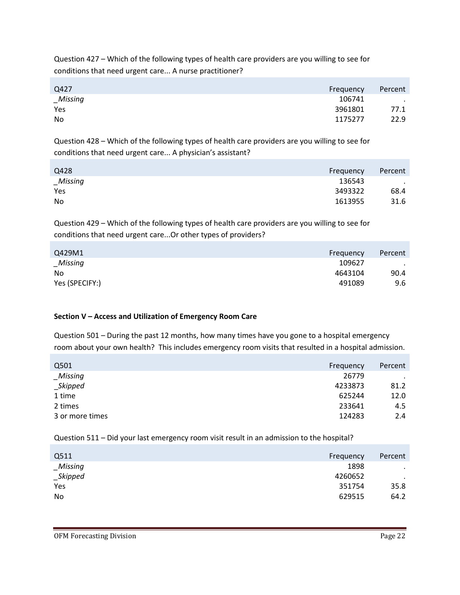Question 427 – Which of the following types of health care providers are you willing to see for conditions that need urgent care... A nurse practitioner?

| Q427        | Frequency | Percent          |
|-------------|-----------|------------------|
| $\_Missing$ | 106741    | $\sim$ 100 $\mu$ |
| Yes         | 3961801   | 77.1             |
| No          | 1175277   | 22.9             |

Question 428 – Which of the following types of health care providers are you willing to see for conditions that need urgent care... A physician's assistant?

| Q428        | Frequency | Percent |
|-------------|-----------|---------|
| $\_Missing$ | 136543    | $\cdot$ |
| Yes         | 3493322   | 68.4    |
| No          | 1613955   | 31.6    |

Question 429 – Which of the following types of health care providers are you willing to see for conditions that need urgent care...Or other types of providers?

| Q429M1         | Frequency | Percent |
|----------------|-----------|---------|
| Missing        | 109627    | $\cdot$ |
| No             | 4643104   | 90.4    |
| Yes (SPECIFY:) | 491089    | 9.6     |

# **Section V – Access and Utilization of Emergency Room Care**

Question 501 – During the past 12 months, how many times have you gone to a hospital emergency room about your own health? This includes emergency room visits that resulted in a hospital admission.

| Q501            | Frequency | Percent |
|-----------------|-----------|---------|
| <b>Missing</b>  | 26779     | $\cdot$ |
| <b>Skipped</b>  | 4233873   | 81.2    |
| 1 time          | 625244    | 12.0    |
| 2 times         | 233641    | 4.5     |
| 3 or more times | 124283    | 2.4     |

Question 511 – Did your last emergency room visit result in an admission to the hospital?

| Q511           | Frequency | Percent |
|----------------|-----------|---------|
| <b>Missing</b> | 1898      | $\cdot$ |
| $\_$ Skipped   | 4260652   | $\cdot$ |
| Yes            | 351754    | 35.8    |
| No             | 629515    | 64.2    |
|                |           |         |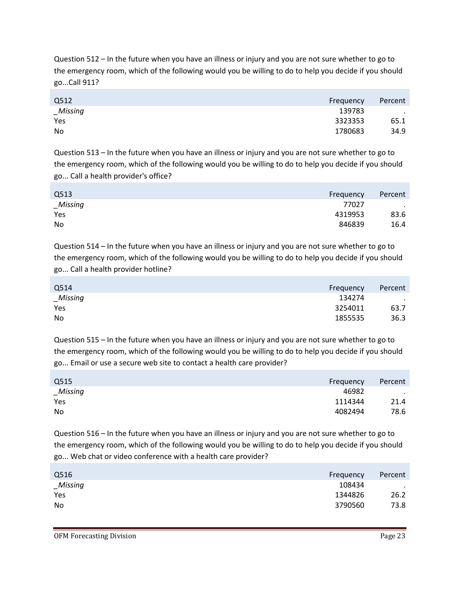Question 512 – In the future when you have an illness or injury and you are not sure whether to go to the emergency room, which of the following would you be willing to do to help you decide if you should go...Call 911?

| Q512     | Frequency | Percent   |
|----------|-----------|-----------|
| _Missing | 139783    | $\bullet$ |
| Yes      | 3323353   | 65.1      |
| No       | 1780683   | 34.9      |

Question 513 – In the future when you have an illness or injury and you are not sure whether to go to the emergency room, which of the following would you be willing to do to help you decide if you should go... Call a health provider's office?

| Q513<br>Frequency | Percent          |
|-------------------|------------------|
| _Missing          | 77027<br>$\cdot$ |
| Yes               | 4319953<br>83.6  |
| No                | 846839<br>16.4   |

Question 514 – In the future when you have an illness or injury and you are not sure whether to go to the emergency room, which of the following would you be willing to do to help you decide if you should go... Call a health provider hotline?

| Q514<br>Frequency     | Percent |
|-----------------------|---------|
| $\_Missing$<br>134274 | $\cdot$ |
| Yes<br>3254011        | 63.7    |
| No<br>1855535         | 36.3    |

Question 515 – In the future when you have an illness or injury and you are not sure whether to go to the emergency room, which of the following would you be willing to do to help you decide if you should go... Email or use a secure web site to contact a health care provider?

| Q515     | Frequency | Percent |
|----------|-----------|---------|
| _Missing | 46982     | $\sim$  |
| Yes      | 1114344   | 21.4    |
| No       | 4082494   | 78.6    |

Question 516 – In the future when you have an illness or injury and you are not sure whether to go to the emergency room, which of the following would you be willing to do to help you decide if you should go... Web chat or video conference with a health care provider?

| Frequency | Percent   |
|-----------|-----------|
| 108434    | $\bullet$ |
| 1344826   | 26.2      |
| 3790560   | 73.8      |
|           |           |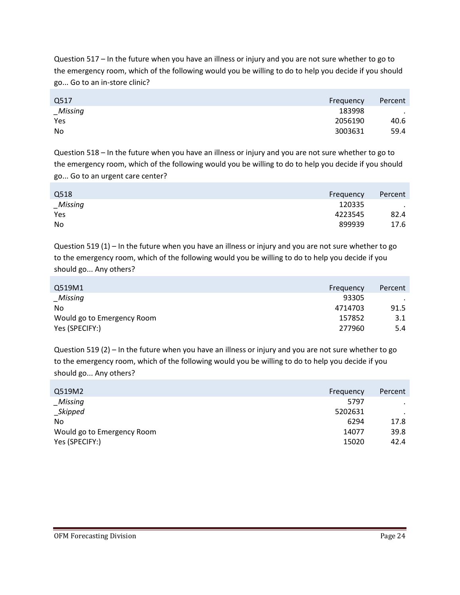Question 517 – In the future when you have an illness or injury and you are not sure whether to go to the emergency room, which of the following would you be willing to do to help you decide if you should go... Go to an in-store clinic?

| Q517     | Percent<br>Frequency |
|----------|----------------------|
| _Missing | 183998<br>$\bullet$  |
| Yes      | 2056190<br>40.6      |
| No       | 3003631<br>59.4      |

Question 518 – In the future when you have an illness or injury and you are not sure whether to go to the emergency room, which of the following would you be willing to do to help you decide if you should go... Go to an urgent care center?

| Q518     | Frequency | Percent           |
|----------|-----------|-------------------|
| _Missing | 120335    | $\sim$ 100 $\sim$ |
| Yes      | 4223545   | 82.4              |
| No       | 899939    | 17.6              |

Question 519 (1) – In the future when you have an illness or injury and you are not sure whether to go to the emergency room, which of the following would you be willing to do to help you decide if you should go... Any others?

| Q519M1                     | Frequency | Percent |
|----------------------------|-----------|---------|
| Missing                    | 93305     |         |
| No                         | 4714703   | 91.5    |
| Would go to Emergency Room | 157852    | 3.1     |
| Yes (SPECIFY:)             | 277960    | 5.4     |

Question 519 (2) – In the future when you have an illness or injury and you are not sure whether to go to the emergency room, which of the following would you be willing to do to help you decide if you should go... Any others?

| Percent |
|---------|
|         |
|         |
| 17.8    |
| 39.8    |
| 42.4    |
|         |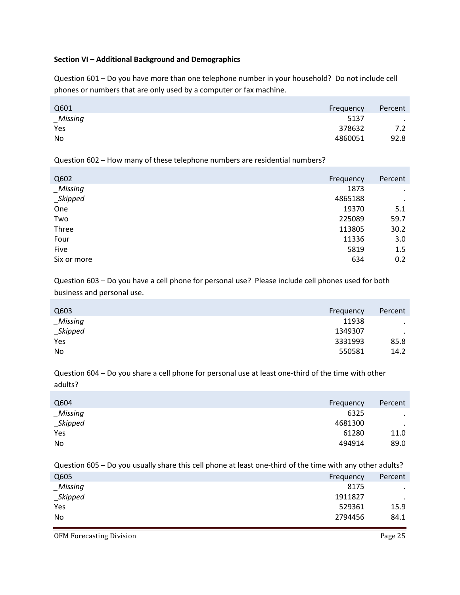### **Section VI – Additional Background and Demographics**

Question 601 – Do you have more than one telephone number in your household? Do not include cell phones or numbers that are only used by a computer or fax machine.

| Q601    | Frequency | Percent |
|---------|-----------|---------|
| Missing | 5137      | $\sim$  |
| Yes     | 378632    | 7.2     |
| No      | 4860051   | 92.8    |

Question 602 – How many of these telephone numbers are residential numbers?

| Q602        | Frequency | Percent   |
|-------------|-----------|-----------|
| $\_Missing$ | 1873      | $\cdot$   |
| _Skipped    | 4865188   | $\bullet$ |
| One         | 19370     | 5.1       |
| Two         | 225089    | 59.7      |
| Three       | 113805    | 30.2      |
| Four        | 11336     | 3.0       |
| Five        | 5819      | 1.5       |
| Six or more | 634       | 0.2       |

Question 603 – Do you have a cell phone for personal use? Please include cell phones used for both business and personal use.

| Q603         | Frequency | Percent |
|--------------|-----------|---------|
| $\_Missing$  | 11938     | $\cdot$ |
| $\_$ Skipped | 1349307   | $\cdot$ |
| Yes          | 3331993   | 85.8    |
| No           | 550581    | 14.2    |

Question 604 – Do you share a cell phone for personal use at least one-third of the time with other adults?

| Percent   |
|-----------|
| $\bullet$ |
| $\bullet$ |
| 11.0      |
| 89.0      |
|           |

Question 605 – Do you usually share this cell phone at least one-third of the time with any other adults?

| Q605           | Frequency | Percent   |
|----------------|-----------|-----------|
| <b>Missing</b> | 8175      | $\bullet$ |
| _Skipped       | 1911827   | $\bullet$ |
| Yes            | 529361    | 15.9      |
| No             | 2794456   | 84.1      |
|                |           |           |

OFM Forecasting Division **Page 25**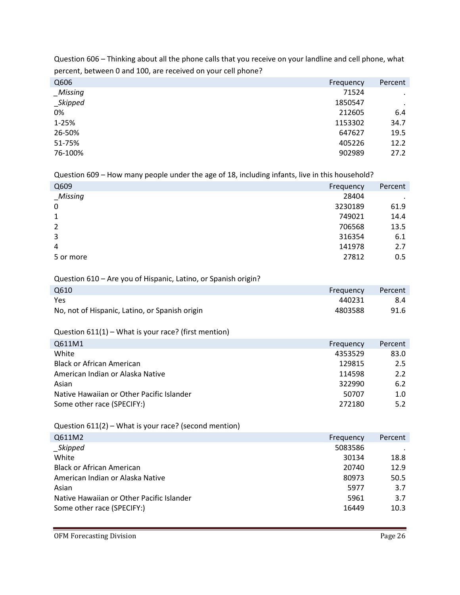| . . ,    |           |           |
|----------|-----------|-----------|
| Q606     | Frequency | Percent   |
| _Missing | 71524     | $\bullet$ |
| _Skipped | 1850547   | $\bullet$ |
| 0%       | 212605    | 6.4       |
| 1-25%    | 1153302   | 34.7      |
| 26-50%   | 647627    | 19.5      |
| 51-75%   | 405226    | 12.2      |
| 76-100%  | 902989    | 27.2      |
|          |           |           |

Question 606 – Thinking about all the phone calls that you receive on your landline and cell phone, what percent, between 0 and 100, are received on your cell phone?

Question 609 – How many people under the age of 18, including infants, live in this household?

| Q609             | Frequency | Percent |
|------------------|-----------|---------|
| _Missing         | 28404     | ٠       |
| $\boldsymbol{0}$ | 3230189   | 61.9    |
| 1                | 749021    | 14.4    |
| $\overline{2}$   | 706568    | 13.5    |
| $\overline{3}$   | 316354    | 6.1     |
| 4                | 141978    | 2.7     |
| 5 or more        | 27812     | 0.5     |

### Question 610 – Are you of Hispanic, Latino, or Spanish origin?

| Q610                                           | Frequency | Percent |
|------------------------------------------------|-----------|---------|
| Yes                                            | 440231    | 8.4     |
| No, not of Hispanic, Latino, or Spanish origin | 4803588   | 91.6    |

Question 611(1) – What is your race? (first mention)

| Q611M1                                    | Frequency | Percent |
|-------------------------------------------|-----------|---------|
| White                                     | 4353529   | 83.0    |
| <b>Black or African American</b>          | 129815    | 2.5     |
| American Indian or Alaska Native          | 114598    | 2.2     |
| Asian                                     | 322990    | 6.2     |
| Native Hawaiian or Other Pacific Islander | 50707     | 1.0     |
| Some other race (SPECIFY:)                | 272180    | 5.2     |

Question 611(2) – What is your race? (second mention)

| Q611M2                                    | Frequency | Percent |
|-------------------------------------------|-----------|---------|
| $\_Skipped$                               | 5083586   |         |
| White                                     | 30134     | 18.8    |
| <b>Black or African American</b>          | 20740     | 12.9    |
| American Indian or Alaska Native          | 80973     | 50.5    |
| Asian                                     | 5977      | 3.7     |
| Native Hawaiian or Other Pacific Islander | 5961      | 3.7     |
| Some other race (SPECIFY:)                | 16449     | 10.3    |
|                                           |           |         |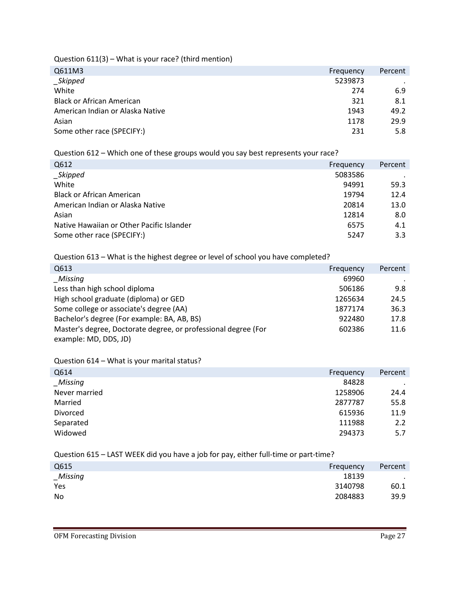Question 611(3) – What is your race? (third mention)

| Q611M3                           | Frequency | Percent |
|----------------------------------|-----------|---------|
| _Skipped                         | 5239873   |         |
| White                            | 274       | 6.9     |
| <b>Black or African American</b> | 321       | 8.1     |
| American Indian or Alaska Native | 1943      | 49.2    |
| Asian                            | 1178      | 29.9    |
| Some other race (SPECIFY:)       | 231       | 5.8     |
|                                  |           |         |

Question 612 – Which one of these groups would you say best represents your race?

| Q612                                      | Frequency | Percent |
|-------------------------------------------|-----------|---------|
| _Skipped                                  | 5083586   |         |
| White                                     | 94991     | 59.3    |
| <b>Black or African American</b>          | 19794     | 12.4    |
| American Indian or Alaska Native          | 20814     | 13.0    |
| Asian                                     | 12814     | 8.0     |
| Native Hawaiian or Other Pacific Islander | 6575      | 4.1     |
| Some other race (SPECIFY:)                | 5247      | 3.3     |
|                                           |           |         |

Question 613 – What is the highest degree or level of school you have completed?

| Q613                                                           | Frequency | Percent |
|----------------------------------------------------------------|-----------|---------|
| Missing                                                        | 69960     |         |
| Less than high school diploma                                  | 506186    | 9.8     |
| High school graduate (diploma) or GED                          | 1265634   | 24.5    |
| Some college or associate's degree (AA)                        | 1877174   | 36.3    |
| Bachelor's degree (For example: BA, AB, BS)                    | 922480    | 17.8    |
| Master's degree, Doctorate degree, or professional degree (For | 602386    | 11.6    |
| example: MD, DDS, JD)                                          |           |         |

Question 614 – What is your marital status?

| Q614          | Frequency | Percent |
|---------------|-----------|---------|
| Missing       | 84828     |         |
| Never married | 1258906   | 24.4    |
| Married       | 2877787   | 55.8    |
| Divorced      | 615936    | 11.9    |
| Separated     | 111988    | 2.2     |
| Widowed       | 294373    | 5.7     |

Question 615 – LAST WEEK did you have a job for pay, either full-time or part-time?

| Q615    | Frequency | Percent |
|---------|-----------|---------|
| Missing | 18139     | $\sim$  |
| Yes     | 3140798   | 60.1    |
| No      | 2084883   | 39.9    |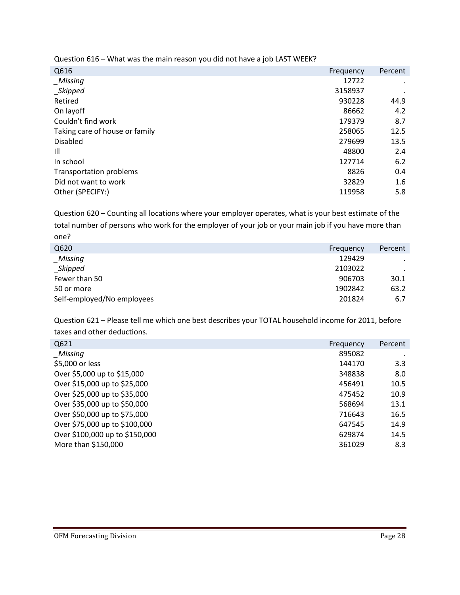Question 616 – What was the main reason you did not have a job LAST WEEK?

| Q616                           | Frequency | Percent |
|--------------------------------|-----------|---------|
| _Missing                       | 12722     |         |
| _Skipped                       | 3158937   |         |
| Retired                        | 930228    | 44.9    |
| On layoff                      | 86662     | 4.2     |
| Couldn't find work             | 179379    | 8.7     |
| Taking care of house or family | 258065    | 12.5    |
| <b>Disabled</b>                | 279699    | 13.5    |
| Ш                              | 48800     | 2.4     |
| In school                      | 127714    | 6.2     |
| Transportation problems        | 8826      | 0.4     |
| Did not want to work           | 32829     | 1.6     |
| Other (SPECIFY:)               | 119958    | 5.8     |
|                                |           |         |

Question 620 – Counting all locations where your employer operates, what is your best estimate of the total number of persons who work for the employer of your job or your main job if you have more than one?

| Q620                       | Frequency | Percent   |
|----------------------------|-----------|-----------|
| Missing                    | 129429    | $\cdot$   |
| <b>Skipped</b>             | 2103022   | $\bullet$ |
| Fewer than 50              | 906703    | 30.1      |
| 50 or more                 | 1902842   | 63.2      |
| Self-employed/No employees | 201824    | 6.7       |

Question 621 – Please tell me which one best describes your TOTAL household income for 2011, before taxes and other deductions.

| Q621                           | Frequency | Percent |
|--------------------------------|-----------|---------|
| Missing                        | 895082    |         |
| \$5,000 or less                | 144170    | 3.3     |
| Over \$5,000 up to \$15,000    | 348838    | 8.0     |
| Over \$15,000 up to \$25,000   | 456491    | 10.5    |
| Over \$25,000 up to \$35,000   | 475452    | 10.9    |
| Over \$35,000 up to \$50,000   | 568694    | 13.1    |
| Over \$50,000 up to \$75,000   | 716643    | 16.5    |
| Over \$75,000 up to \$100,000  | 647545    | 14.9    |
| Over \$100,000 up to \$150,000 | 629874    | 14.5    |
| More than \$150,000            | 361029    | 8.3     |
|                                |           |         |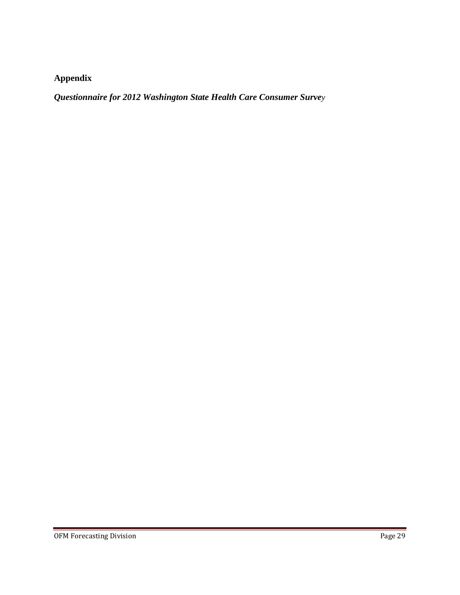# **Appendix**

*Questionnaire for 2012 Washington State Health Care Consumer Survey*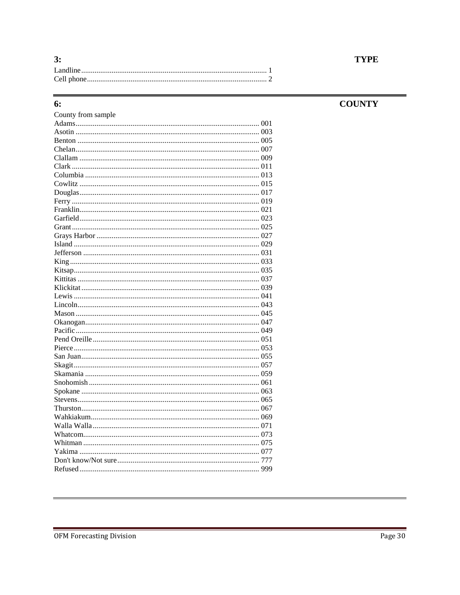| 3: |
|----|
|    |
|    |

# 6:

# **COUNTY**

| County from sample |  |
|--------------------|--|
|                    |  |
|                    |  |
|                    |  |
|                    |  |
|                    |  |
|                    |  |
|                    |  |
|                    |  |
|                    |  |
|                    |  |
|                    |  |
|                    |  |
|                    |  |
|                    |  |
|                    |  |
|                    |  |
|                    |  |
|                    |  |
|                    |  |
|                    |  |
|                    |  |
|                    |  |
|                    |  |
|                    |  |
|                    |  |
|                    |  |
|                    |  |
|                    |  |
|                    |  |
|                    |  |
|                    |  |
|                    |  |
|                    |  |
|                    |  |
|                    |  |
|                    |  |
|                    |  |
|                    |  |
|                    |  |
|                    |  |
|                    |  |

# **TYPE**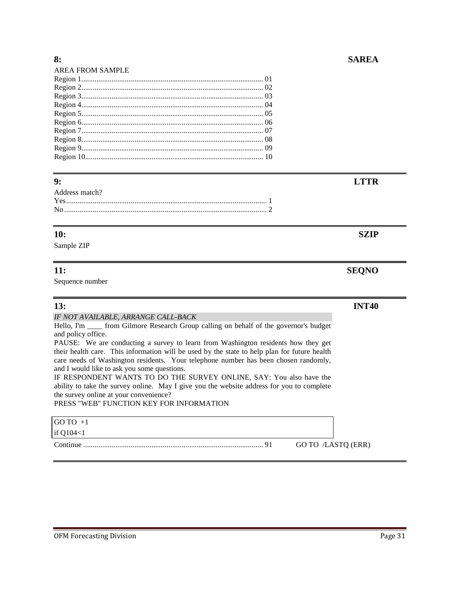| <b>AREA FROM SAMPLE</b> |  |
|-------------------------|--|
|                         |  |
|                         |  |
|                         |  |
|                         |  |
|                         |  |
|                         |  |
|                         |  |
|                         |  |
|                         |  |
|                         |  |
|                         |  |

### **9: LTTR**

# **10: SZIP**

Sample ZIP

# **11: SEQNO**

Sequence number

# **13: INT40**

*IF NOT AVAILABLE, ARRANGE CALL-BACK*

Hello, I'm \_\_\_\_ from Gilmore Research Group calling on behalf of the governor's budget and policy office.

PAUSE: We are conducting a survey to learn from Washington residents how they get their health care. This information will be used by the state to help plan for future health care needs of Washington residents. Your telephone number has been chosen randomly, and I would like to ask you some questions.

IF RESPONDENT WANTS TO DO THE SURVEY ONLINE, SAY: You also have the ability to take the survey online. May I give you the website address for you to complete the survey online at your convenience?

PRESS "WEB" FUNCTION KEY FOR INFORMATION

| $GOTO +1$   |                    |
|-------------|--------------------|
| if $Q104<1$ |                    |
|             | GO TO /LASTQ (ERR) |

### OFM Forecasting Division **Page 31**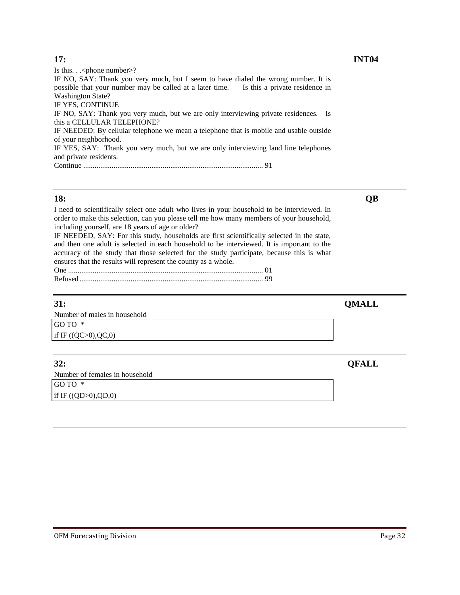### **17: INT04**

Is this. . .< phone number>? IF NO, SAY: Thank you very much, but I seem to have dialed the wrong number. It is possible that your number may be called at a later time. Is this a private residence in Washington State? IF YES, CONTINUE IF NO, SAY: Thank you very much, but we are only interviewing private residences. Is this a CELLULAR TELEPHONE? IF NEEDED: By cellular telephone we mean a telephone that is mobile and usable outside of your neighborhood. IF YES, SAY: Thank you very much, but we are only interviewing land line telephones and private residents. Continue ............................................................................................... 91

### **18: QB**

I need to scientifically select one adult who lives in your household to be interviewed. In order to make this selection, can you please tell me how many members of your household, including yourself, are 18 years of age or older?

IF NEEDED, SAY: For this study, households are first scientifically selected in the state, and then one adult is selected in each household to be interviewed. It is important to the accuracy of the study that those selected for the study participate, because this is what ensures that the results will represent the county as a whole.

# **31: QMALL**

Number of males in household GO TO \* if IF ((QC>0),QC,0)

**32: QFALL** 

Number of females in household GO TO \* if IF  $((QD>0), QD, 0)$ 

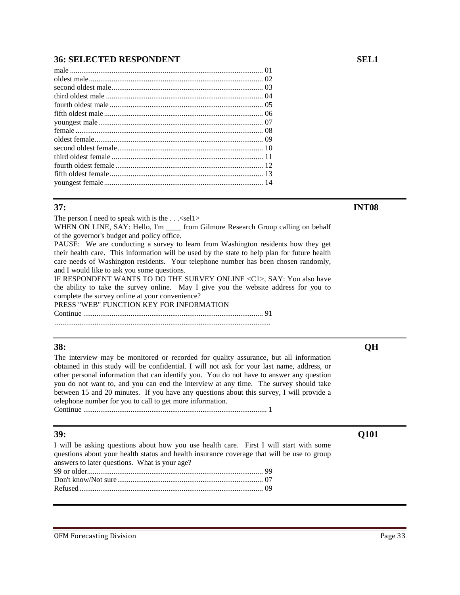# **36: SELECTED RESPONDENT SEL1**

### **37: INT08**

The person I need to speak with is the  $\dots$  <sell>

WHEN ON LINE, SAY: Hello, I'm \_\_\_\_ from Gilmore Research Group calling on behalf of the governor's budget and policy office.

PAUSE: We are conducting a survey to learn from Washington residents how they get their health care. This information will be used by the state to help plan for future health care needs of Washington residents. Your telephone number has been chosen randomly, and I would like to ask you some questions.

IF RESPONDENT WANTS TO DO THE SURVEY ONLINE <C1>, SAY: You also have the ability to take the survey online. May I give you the website address for you to complete the survey online at your convenience?

PRESS "WEB" FUNCTION KEY FOR INFORMATION Continue ............................................................................................... 91

..................................................................................................................

### **38: QH**

The interview may be monitored or recorded for quality assurance, but all information obtained in this study will be confidential. I will not ask for your last name, address, or other personal information that can identify you. You do not have to answer any question you do not want to, and you can end the interview at any time. The survey should take between 15 and 20 minutes. If you have any questions about this survey, I will provide a telephone number for you to call to get more information.

Continue ................................................................................................. 1

I will be asking questions about how you use health care. First I will start with some questions about your health status and health insurance coverage that will be use to group answers to later questions. What is your age?

### OFM Forecasting Division **Page 33**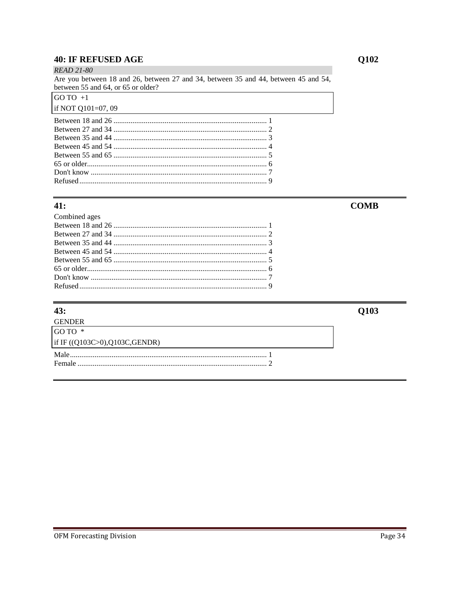# **40: IF REFUSED AGE**

**READ 21-80** Are you between 18 and 26, between 27 and 34, between 35 and 44, between 45 and 54, between 55 and 64, or 65 or older?  $GOTO +1$ 

# if NOT Q101=07, 09

 $\overline{a}$  $\ddot{\phantom{0}}$ 

| $\mathcal{L}$ and $\mathcal{L}$ and $\mathcal{L}$ are the set of $\mathcal{L}$ and $\mathcal{L}$ are the set of $\mathcal{L}$ and $\mathcal{L}$ are the set of $\mathcal{L}$ |
|------------------------------------------------------------------------------------------------------------------------------------------------------------------------------|
|                                                                                                                                                                              |
|                                                                                                                                                                              |
|                                                                                                                                                                              |
|                                                                                                                                                                              |
|                                                                                                                                                                              |
|                                                                                                                                                                              |
|                                                                                                                                                                              |
|                                                                                                                                                                              |
|                                                                                                                                                                              |

# 41:

| Combined ages |  |
|---------------|--|
|               |  |
|               |  |
|               |  |
|               |  |
|               |  |
|               |  |
|               |  |
|               |  |
|               |  |

# $43:$

**GENDER** GO TO \* if IF ((Q103C>0),Q103C,GENDR) 

# $Q102$

**COMB** 

Q103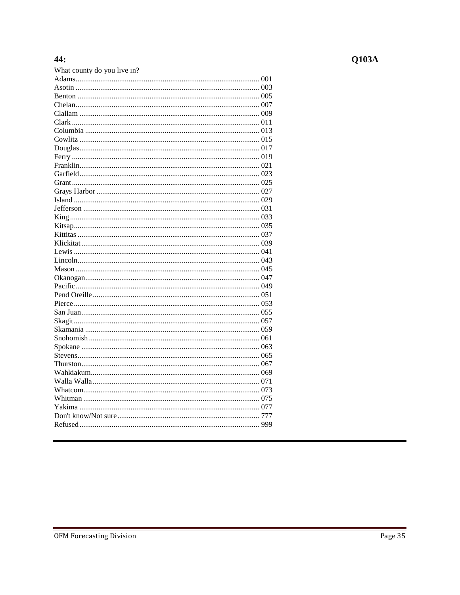# 44:

| What county do you live in? |  |
|-----------------------------|--|
|                             |  |
|                             |  |
|                             |  |
|                             |  |
|                             |  |
|                             |  |
|                             |  |
|                             |  |
|                             |  |
|                             |  |
|                             |  |
|                             |  |
|                             |  |
|                             |  |
|                             |  |
|                             |  |
|                             |  |
|                             |  |
|                             |  |
|                             |  |
|                             |  |
|                             |  |
|                             |  |
|                             |  |
|                             |  |
|                             |  |
|                             |  |
|                             |  |
|                             |  |
|                             |  |
|                             |  |
|                             |  |
|                             |  |
|                             |  |
|                             |  |
|                             |  |
|                             |  |
|                             |  |
|                             |  |
|                             |  |
|                             |  |
|                             |  |

# $Q103A$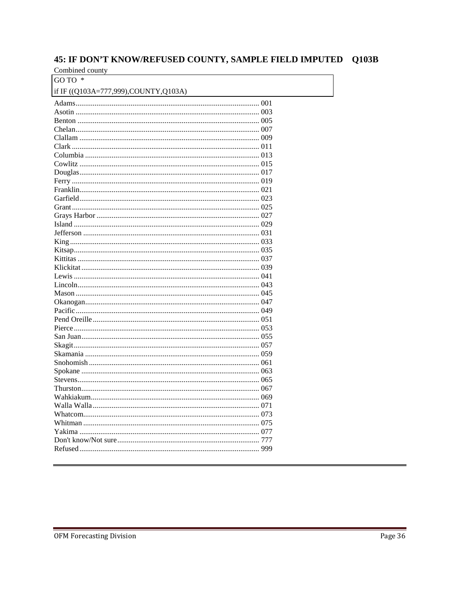# 45: IF DON'T KNOW/REFUSED COUNTY, SAMPLE FIELD IMPUTED Q103B

Combined county GO TO \*

| if IF ((Q103A=777,999),COUNTY,Q103A) |  |
|--------------------------------------|--|
|                                      |  |
|                                      |  |
|                                      |  |
|                                      |  |
|                                      |  |
|                                      |  |
|                                      |  |
|                                      |  |
|                                      |  |
|                                      |  |
|                                      |  |
|                                      |  |
|                                      |  |
|                                      |  |
|                                      |  |
|                                      |  |
|                                      |  |
|                                      |  |
|                                      |  |
|                                      |  |
|                                      |  |
|                                      |  |
|                                      |  |
|                                      |  |
|                                      |  |
|                                      |  |
|                                      |  |
|                                      |  |
|                                      |  |
|                                      |  |
|                                      |  |
|                                      |  |
|                                      |  |
|                                      |  |
|                                      |  |
|                                      |  |
|                                      |  |
|                                      |  |
|                                      |  |
|                                      |  |
|                                      |  |
|                                      |  |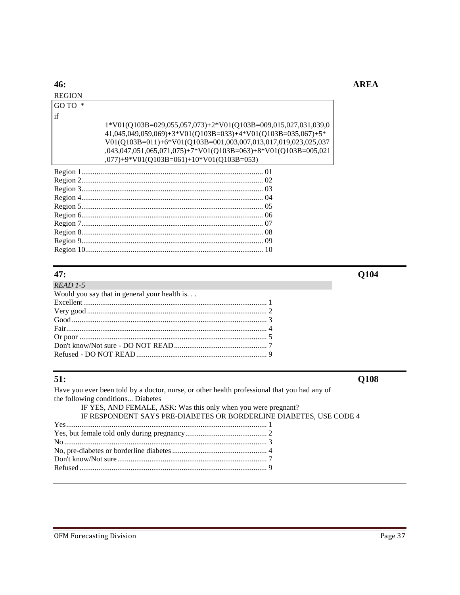# **AREA**

# 46:

### **REGION** GO TO  $\,^*$

 $if$ 

| $1*$ V01(Q103B=029,055,057,073)+2*V01(Q103B=009,015,027,031,039,0                  |
|------------------------------------------------------------------------------------|
| $41,045,049,059,069$ + $3*$ V01(Q103B=033) + $4*$ V01(Q103B=035,067) + $5*$        |
| V01(Q103B=011)+6*V01(Q103B=001,003,007,013,017,019,023,025,037                     |
| $(0.043, 0.047, 0.051, 0.051, 0.075) + 7*Vol(Q103B=063) + 8*Vol(Q103B=005, 0.021)$ |
| $(077)+9*V01(Q103B=061)+10*V01(Q103B=053)$                                         |

# $47:$

| $READ$ 1-5                                             |  |
|--------------------------------------------------------|--|
| Would you say that in general your health is. $\ldots$ |  |
|                                                        |  |
|                                                        |  |
|                                                        |  |
|                                                        |  |
|                                                        |  |
|                                                        |  |
|                                                        |  |

# $51:$

Have you ever been told by a doctor, nurse, or other health professional that you had any of the following conditions... Diabetes IF YES, AND FEMALE, ASK: Was this only when you were pregnant? IF RESPONDENT SAYS PRE-DIABETES OR BORDERLINE DIABETES, USE CODE 4 

 $Q104$ 

Q108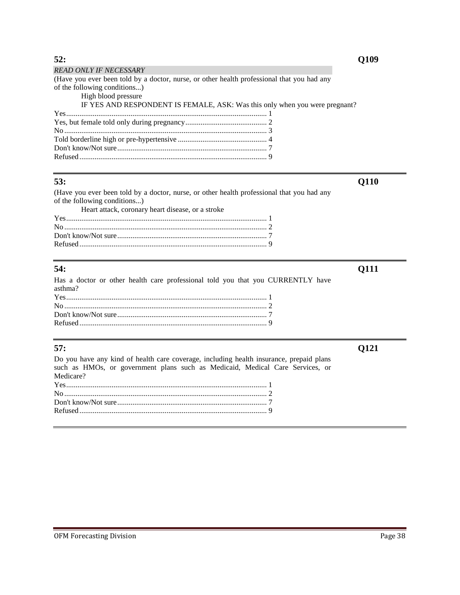| <b>READ ONLY IF NECESSARY</b>                                                              |
|--------------------------------------------------------------------------------------------|
| (Have you ever been told by a doctor, nurse, or other health professional that you had any |
| of the following conditions)                                                               |
| High blood pressure                                                                        |
| IF YES AND RESPONDENT IS FEMALE, ASK: Was this only when you were pregnant?                |
|                                                                                            |
|                                                                                            |
|                                                                                            |
|                                                                                            |
|                                                                                            |
|                                                                                            |

**53: Q110** 

(Have you ever been told by a doctor, nurse, or other health professional that you had any of the following conditions...) Heart attack, coronary heart disease, or a stroke

# **54: Q111**

Has a doctor or other health care professional told you that you CURRENTLY have asthma? Yes.......................................................................................................... 1 No ........................................................................................................... 2 Don't know/Not sure............................................................................... 7 Refused ................................................................................................... 9

Do you have any kind of health care coverage, including health insurance, prepaid plans such as HMOs, or government plans such as Medicaid, Medical Care Services, or Medicare?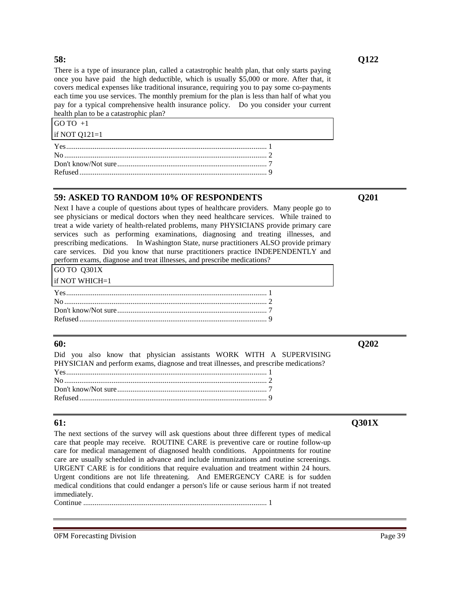There is a type of insurance plan, called a catastrophic health plan, that only starts paying once you have paid the high deductible, which is usually \$5,000 or more. After that, it covers medical expenses like traditional insurance, requiring you to pay some co-payments each time you use services. The monthly premium for the plan is less than half of what you pay for a typical comprehensive health insurance policy. Do you consider your current health plan to be a catastrophic plan?

| GO TO $+1$      |  |
|-----------------|--|
| if NOT $Q121=1$ |  |
|                 |  |
|                 |  |
|                 |  |
|                 |  |
|                 |  |

# **59: ASKED TO RANDOM 10% OF RESPONDENTS Q201**

Next I have a couple of questions about types of healthcare providers. Many people go to see physicians or medical doctors when they need healthcare services. While trained to treat a wide variety of health-related problems, many PHYSICIANS provide primary care services such as performing examinations, diagnosing and treating illnesses, and prescribing medications. In Washington State, nurse practitioners ALSO provide primary care services. Did you know that nurse practitioners practice INDEPENDENTLY and perform exams, diagnose and treat illnesses, and prescribe medications?

| GO TO Q301X |  |
|-------------|--|
|             |  |

| if NOT WHICH= $1$ |  |
|-------------------|--|
|                   |  |
|                   |  |
|                   |  |
|                   |  |

### **60: Q202**

Did you also know that physician assistants WORK WITH A SUPERVISING PHYSICIAN and perform exams, diagnose and treat illnesses, and prescribe medications? Yes.......................................................................................................... 1 No ........................................................................................................... 2 Don't know/Not sure............................................................................... 7 Refused ................................................................................................... 9

### **61: Q301X**

The next sections of the survey will ask questions about three different types of medical care that people may receive. ROUTINE CARE is preventive care or routine follow-up care for medical management of diagnosed health conditions. Appointments for routine care are usually scheduled in advance and include immunizations and routine screenings. URGENT CARE is for conditions that require evaluation and treatment within 24 hours. Urgent conditions are not life threatening. And EMERGENCY CARE is for sudden medical conditions that could endanger a person's life or cause serious harm if not treated immediately.

Continue ................................................................................................. 1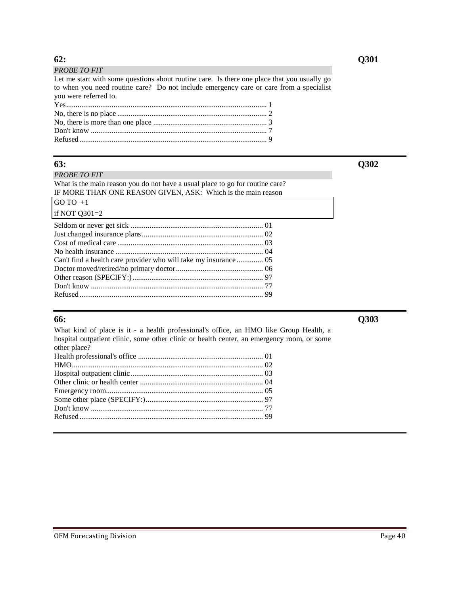| <b>PROBE TO FIT</b>                                                                         |  |
|---------------------------------------------------------------------------------------------|--|
| Let me start with some questions about routine care. Is there one place that you usually go |  |
| to when you need routine care? Do not include emergency care or care from a specialist      |  |
| you were referred to.                                                                       |  |
|                                                                                             |  |
|                                                                                             |  |
|                                                                                             |  |

Don't know ............................................................................................. 7 Refused ................................................................................................... 9

### *PROBE TO FIT*

What is the main reason you do not have a usual place to go for routine care? IF MORE THAN ONE REASON GIVEN, ASK: Which is the main reason

| $GOTO +1$                |
|--------------------------|
| if NOT $Q301=2$          |
| Seldom or never get sick |

What kind of place is it - a health professional's office, an HMO like Group Health, a hospital outpatient clinic, some other clinic or health center, an emergency room, or some other place? Health professional's office .................................................................. 01 HMO..................................................................................................... 02 Hospital outpatient clinic...................................................................... 03 Other clinic or health center ................................................................. 04 Emergency room................................................................................... 05 Some other place (SPECIFY:).............................................................. 97 Don't know ........................................................................................... 77 Refused ................................................................................................. 99

**63: Q302**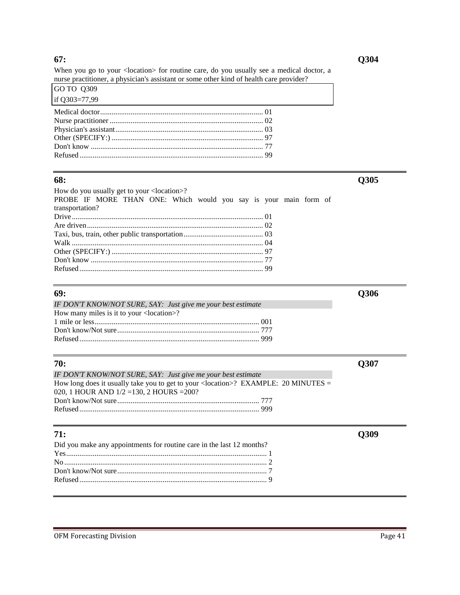### **67: Q304**

When you go to your <location> for routine care, do you usually see a medical doctor, a nurse practitioner, a physician's assistant or some other kind of health care provider?

| GO TO 0309    |                                                             |  |
|---------------|-------------------------------------------------------------|--|
| if Q303=77,99 | <u> 1999 - Johann Stoff, amerikansk politiker (d. 1989)</u> |  |
|               |                                                             |  |
|               |                                                             |  |
|               |                                                             |  |
|               |                                                             |  |
|               |                                                             |  |
|               |                                                             |  |
|               |                                                             |  |

### **68: Q305**  How do you usually get to your <location>? PROBE IF MORE THAN ONE: Which would you say is your main form of transportation? Drive..................................................................................................... 01 Are driven............................................................................................. 02 Taxi, bus, train, other public transportation.......................................... 03 Walk ..................................................................................................... 04 Other (SPECIFY:) ................................................................................ 97 Don't know ........................................................................................... 77 Refused ................................................................................................. 99

| IF DON'T KNOW/NOT SURE, SAY: Just give me your best estimate |  |
|--------------------------------------------------------------|--|
| How many miles is it to your <location>?</location>          |  |
|                                                              |  |
|                                                              |  |
|                                                              |  |

| 70:                                                                                  | <b>O307</b> |
|--------------------------------------------------------------------------------------|-------------|
| IF DON'T KNOW/NOT SURE, SAY: Just give me your best estimate                         |             |
| How long does it usually take you to get to your < location >? EXAMPLE: 20 MINUTES = |             |
| 020, 1 HOUR AND $1/2 = 130$ , 2 HOURS = 200?                                         |             |
|                                                                                      |             |
|                                                                                      |             |
|                                                                                      |             |

| 71:                                                                   |  |
|-----------------------------------------------------------------------|--|
| Did you make any appointments for routine care in the last 12 months? |  |
|                                                                       |  |
|                                                                       |  |
|                                                                       |  |
|                                                                       |  |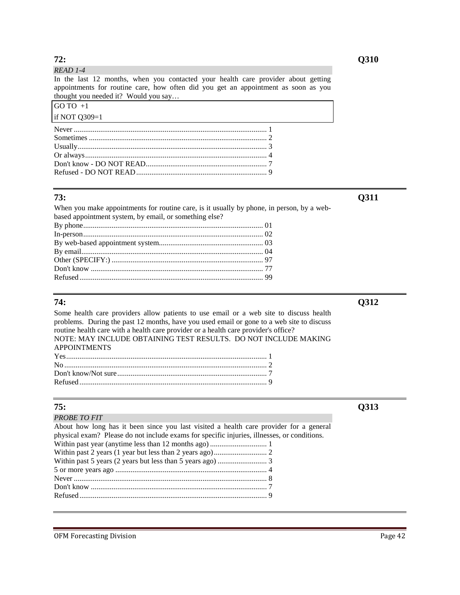| 72:                                                                                                                                                                                                             |
|-----------------------------------------------------------------------------------------------------------------------------------------------------------------------------------------------------------------|
| $READ$ 1-4                                                                                                                                                                                                      |
| In the last 12 months, when you contacted your health care provider about getting<br>appointments for routine care, how often did you get an appointment as soon as you<br>thought you needed it? Would you say |
| GO TO $+1$                                                                                                                                                                                                      |
| if NOT $Q309=1$                                                                                                                                                                                                 |
|                                                                                                                                                                                                                 |

When you make appointments for routine care, is it usually by phone, in person, by a webbased appointment system, by email, or something else? By phone............................................................................................... 01

Some health care providers allow patients to use email or a web site to discuss health problems. During the past 12 months, have you used email or gone to a web site to discuss routine health care with a health care provider or a health care provider's office? NOTE: MAY INCLUDE OBTAINING TEST RESULTS. DO NOT INCLUDE MAKING APPOINTMENTS Yes.......................................................................................................... 1

| 75:                                                                                         |
|---------------------------------------------------------------------------------------------|
| <b>PROBE TO FIT</b>                                                                         |
| About how long has it been since you last visited a health care provider for a general      |
| physical exam? Please do not include exams for specific injuries, illnesses, or conditions. |
|                                                                                             |
|                                                                                             |
|                                                                                             |
|                                                                                             |
|                                                                                             |
|                                                                                             |
|                                                                                             |
|                                                                                             |

**73: Q311**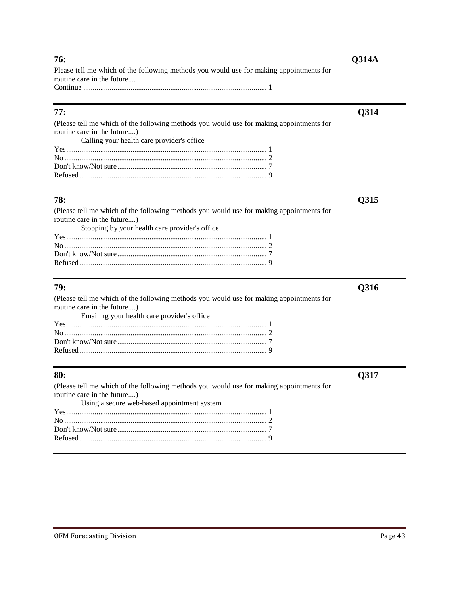| Please tell me which of the following methods you would use for making appointments for<br>routine care in the future                                                 |      |
|-----------------------------------------------------------------------------------------------------------------------------------------------------------------------|------|
| 77:                                                                                                                                                                   | Q314 |
| (Please tell me which of the following methods you would use for making appointments for<br>routine care in the future)<br>Calling your health care provider's office |      |
|                                                                                                                                                                       |      |
|                                                                                                                                                                       |      |
|                                                                                                                                                                       |      |
|                                                                                                                                                                       |      |
| 78:                                                                                                                                                                   | Q315 |
| (Please tell me which of the following methods you would use for making appointments for                                                                              |      |
| routine care in the future)                                                                                                                                           |      |
| Stopping by your health care provider's office                                                                                                                        |      |
|                                                                                                                                                                       |      |
|                                                                                                                                                                       |      |
|                                                                                                                                                                       |      |
|                                                                                                                                                                       |      |
|                                                                                                                                                                       |      |

**76: Q314A** 

### **79: Q316**

(Please tell me which of the following methods you would use for making appointments for routine care in the future....) Emailing your health care provider's office Yes.......................................................................................................... 1 No ........................................................................................................... 2 Don't know/Not sure............................................................................... 7 Refused................................................................................................... 9

(Please tell me which of the following methods you would use for making appointments for routine care in the future....) Using a secure web-based appointment system Yes.......................................................................................................... 1 No ........................................................................................................... 2 Don't know/Not sure............................................................................... 7 Refused................................................................................................... 9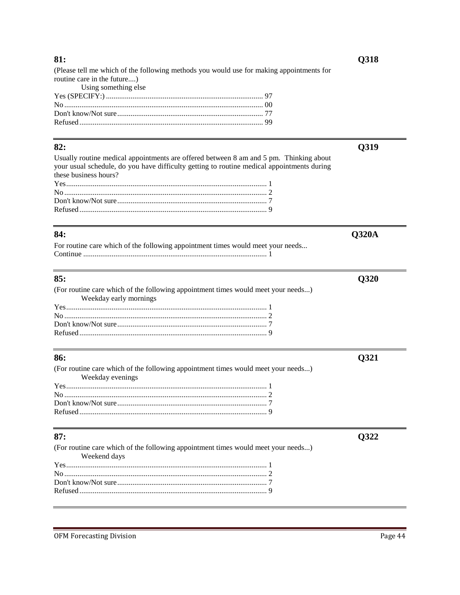### 81:

(Please tell me which of the following methods you would use for making appointments for routine care in the future....)

| Using something else |  |
|----------------------|--|
|                      |  |
|                      |  |
|                      |  |
|                      |  |

### $82:$

Q319

 $Q320A$ 

Q320

Q321

Q322

Q318

Usually routine medical appointments are offered between 8 am and 5 pm. Thinking about your usual schedule, do you have difficulty getting to routine medical appointments during these business hours? 

### 84:

| For routine care which of the following appointment times would meet your needs |  |
|---------------------------------------------------------------------------------|--|
|                                                                                 |  |

# 85:

| (For routine care which of the following appointment times would meet your needs) |  |
|-----------------------------------------------------------------------------------|--|
| Weekday early mornings                                                            |  |
|                                                                                   |  |
|                                                                                   |  |
|                                                                                   |  |
|                                                                                   |  |

# 86:

| (For routine care which of the following appointment times would meet your needs) |  |
|-----------------------------------------------------------------------------------|--|
| Weekday evenings                                                                  |  |
|                                                                                   |  |
|                                                                                   |  |
|                                                                                   |  |
|                                                                                   |  |

# $87:$

| (For routine care which of the following appointment times would meet your needs) |  |
|-----------------------------------------------------------------------------------|--|
| Weekend days                                                                      |  |
|                                                                                   |  |
|                                                                                   |  |
|                                                                                   |  |
|                                                                                   |  |
|                                                                                   |  |

**OFM Forecasting Division**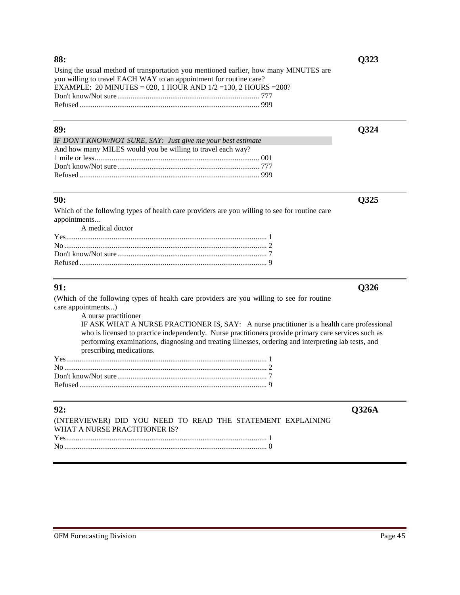Using the usual method of transportation you mentioned earlier, how many MINUTES are you willing to travel EACH WAY to an appointment for routine care? EXAMPLE: 20 MINUTES = 020, 1 HOUR AND 1/2 =130, 2 HOURS =200? Don't know/Not sure........................................................................... 777 Refused ............................................................................................... 999

### **89: Q324**

| IF DON'T KNOW/NOT SURE, SAY: Just give me your best estimate |
|--------------------------------------------------------------|
| And how many MILES would you be willing to travel each way?  |
|                                                              |
|                                                              |
|                                                              |

Which of the following types of health care providers are you willing to see for routine care appointments... A medical doctor

| 111001001 000001 |  |
|------------------|--|
|                  |  |
|                  |  |
|                  |  |
|                  |  |
|                  |  |

(Which of the following types of health care providers are you willing to see for routine care appointments...)

A nurse practitioner IF ASK WHAT A NURSE PRACTIONER IS, SAY: A nurse practitioner is a health care professional who is licensed to practice independently. Nurse practitioners provide primary care services such as performing examinations, diagnosing and treating illnesses, ordering and interpreting lab tests, and prescribing medications.

| 92:                                                                                          | <b>O326A</b> |
|----------------------------------------------------------------------------------------------|--------------|
| (INTERVIEWER) DID YOU NEED TO READ THE STATEMENT EXPLAINING<br>WHAT A NURSE PRACTITIONER IS? |              |
|                                                                                              |              |
|                                                                                              |              |

**90: Q325**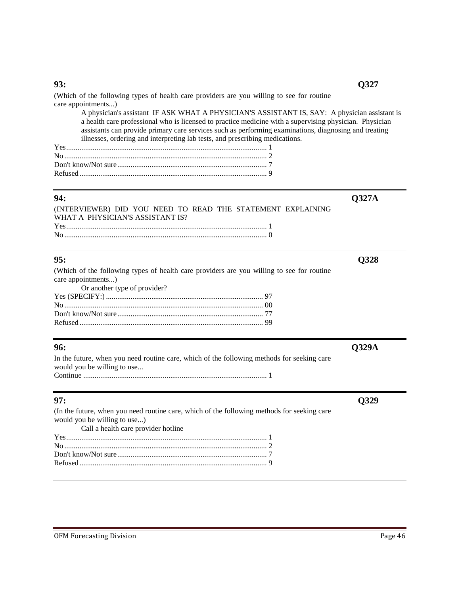# **93: Q327**

(Which of the following types of health care providers are you willing to see for routine care appointments...)

A physician's assistant IF ASK WHAT A PHYSICIAN'S ASSISTANT IS, SAY: A physician assistant is a health care professional who is licensed to practice medicine with a supervising physician. Physician assistants can provide primary care services such as performing examinations, diagnosing and treating illnesses, ordering and interpreting lab tests, and prescribing medications.

### **94: Q327A**

| (INTERVIEWER) DID YOU NEED TO READ THE STATEMENT EXPLAINING |  |  |  |
|-------------------------------------------------------------|--|--|--|
| WHAT A PHYSICIAN'S ASSISTANT IS?                            |  |  |  |
| $Yes$ (1) $1$                                               |  |  |  |
|                                                             |  |  |  |

# **95: Q328**

| (Which of the following types of health care providers are you willing to see for routine |  |
|-------------------------------------------------------------------------------------------|--|
| care appointments)                                                                        |  |
| Or another type of provider?                                                              |  |
|                                                                                           |  |
|                                                                                           |  |
|                                                                                           |  |
|                                                                                           |  |

**96: Q329A**  In the future, when you need routine care, which of the following methods for seeking care would you be willing to use... Continue ................................................................................................. 1

| (In the future, when you need routine care, which of the following methods for seeking care |  |
|---------------------------------------------------------------------------------------------|--|
|                                                                                             |  |
| would you be willing to use)                                                                |  |
| Call a health care provider hotline                                                         |  |
|                                                                                             |  |
|                                                                                             |  |
|                                                                                             |  |
|                                                                                             |  |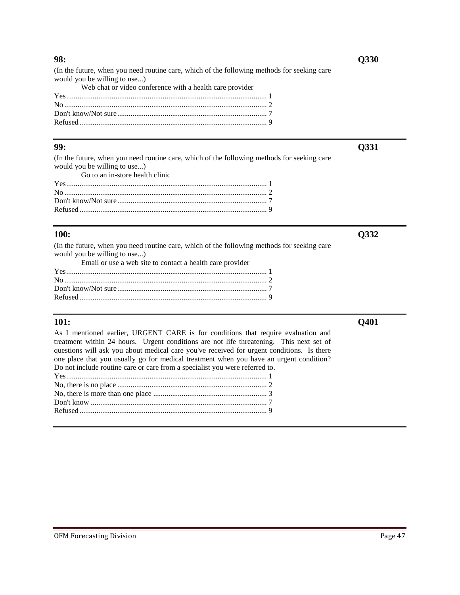(In the future, when you need routine care, which of the following methods for seeking care would you be willing to use...)

|  |  |  |  |  | Web chat or video conference with a health care provider |
|--|--|--|--|--|----------------------------------------------------------|
|--|--|--|--|--|----------------------------------------------------------|

**99: Q331** 

(In the future, when you need routine care, which of the following methods for seeking care would you be willing to use...) Go to an in-store health clinic

| $Yes$ 1 |  |
|---------|--|
|         |  |
|         |  |
|         |  |
|         |  |

### **100: Q332**

(In the future, when you need routine care, which of the following methods for seeking care would you be willing to use...)

Email or use a web site to contact a health care provider

**101: Q401**  As I mentioned earlier, URGENT CARE is for conditions that require evaluation and treatment within 24 hours. Urgent conditions are not life threatening. This next set of questions will ask you about medical care you've received for urgent conditions. Is there one place that you usually go for medical treatment when you have an urgent condition? Do not include routine care or care from a specialist you were referred to.

| <u>so hot merage rought eare or eare from a specialist, jour were referred</u> to: |  |
|------------------------------------------------------------------------------------|--|
|                                                                                    |  |
|                                                                                    |  |
|                                                                                    |  |
|                                                                                    |  |
|                                                                                    |  |
|                                                                                    |  |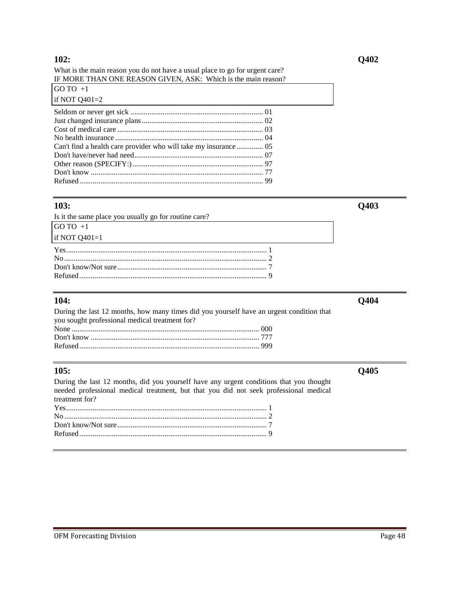What is the main reason you do not have a usual place to go for urgent care? IF MORE THAN ONE REASON GIVEN, ASK: Which is the main reason?

| GO TO $+1$      |  |
|-----------------|--|
| if NOT $Q401=2$ |  |
|                 |  |
|                 |  |
|                 |  |
|                 |  |
|                 |  |
|                 |  |
|                 |  |
|                 |  |
|                 |  |

### **103: Q403**

| Is it the same place you usually go for routine care? |  |
|-------------------------------------------------------|--|
| GO TO $+1$                                            |  |
| if NOT $Q401=1$                                       |  |
|                                                       |  |
|                                                       |  |
|                                                       |  |
|                                                       |  |

### **104: Q404**

| During the last 12 months, how many times did you yourself have an urgent condition that |
|------------------------------------------------------------------------------------------|
|                                                                                          |
|                                                                                          |
|                                                                                          |
|                                                                                          |
|                                                                                          |

# **105: Q405**

During the last 12 months, did you yourself have any urgent conditions that you thought needed professional medical treatment, but that you did not seek professional medical treatment for?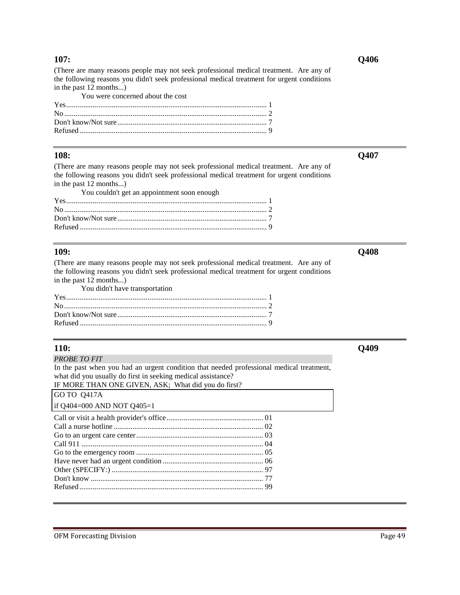(There are many reasons people may not seek professional medical treatment. Are any of the following reasons you didn't seek professional medical treatment for urgent conditions in the past 12 months...)

| You were concerned about the cost |  |
|-----------------------------------|--|
|                                   |  |
|                                   |  |
|                                   |  |
|                                   |  |

### **108: Q407**

(There are many reasons people may not seek professional medical treatment. Are any of the following reasons you didn't seek professional medical treatment for urgent conditions in the past 12 months...)

| You couldn't get an appointment soon enough |  |
|---------------------------------------------|--|
|                                             |  |
|                                             |  |
|                                             |  |
|                                             |  |

### **109: Q408**

(There are many reasons people may not seek professional medical treatment. Are any of the following reasons you didn't seek professional medical treatment for urgent conditions in the past  $12$  months...) you didn't have transportation

| You didn't have transportation |  |
|--------------------------------|--|
|                                |  |
|                                |  |
|                                |  |
|                                |  |

### **110: Q409**

*PROBE TO FIT*

In the past when you had an urgent condition that needed professional medical treatment, what did you usually do first in seeking medical assistance?

IF MORE THAN ONE GIVEN, ASK; What did you do first?  $GO$  TO  $O$ 417A

| UU U U H1/A |                            |  |
|-------------|----------------------------|--|
|             | if Q404=000 AND NOT Q405=1 |  |

**107: Q406** 

OFM Forecasting Division **Page 49**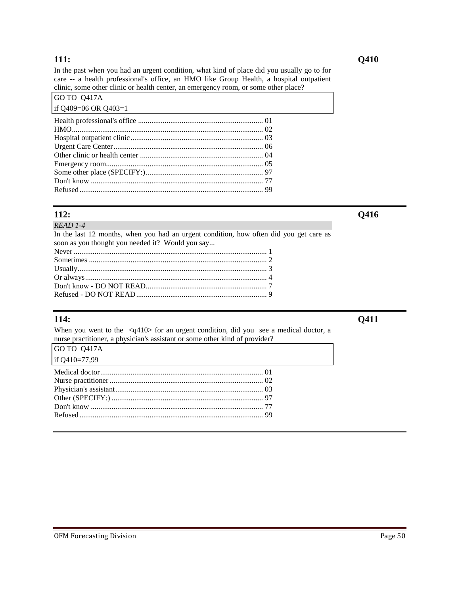### **111: Q410**

In the past when you had an urgent condition, what kind of place did you usually go to for care -- a health professional's office, an HMO like Group Health, a hospital outpatient clinic, some other clinic or health center, an emergency room, or some other place?

| GO TO 0417A          |  |
|----------------------|--|
| if Q409=06 OR Q403=1 |  |
|                      |  |
|                      |  |
|                      |  |
|                      |  |
|                      |  |
|                      |  |
|                      |  |
|                      |  |
|                      |  |
|                      |  |

*READ 1-4* 

**112: Q416** 

| In the last 12 months, when you had an urgent condition, how often did you get care as |  |
|----------------------------------------------------------------------------------------|--|
| soon as you thought you needed it? Would you say                                       |  |
|                                                                                        |  |
|                                                                                        |  |
| $\overline{\text{Li}}$ $\alpha$ $\overline{\text{Li}}$                                 |  |

When you went to the <q410> for an urgent condition, did you see a medical doctor, a nurse practitioner, a physician's assistant or some other kind of provider?  $G$   $\Omega$   $\Omega$   $\Omega$   $\Omega$   $\Omega$   $\Omega$   $\Omega$ 

| <b>JUU 10 0417A</b> |
|---------------------|
| if Q410=77,99       |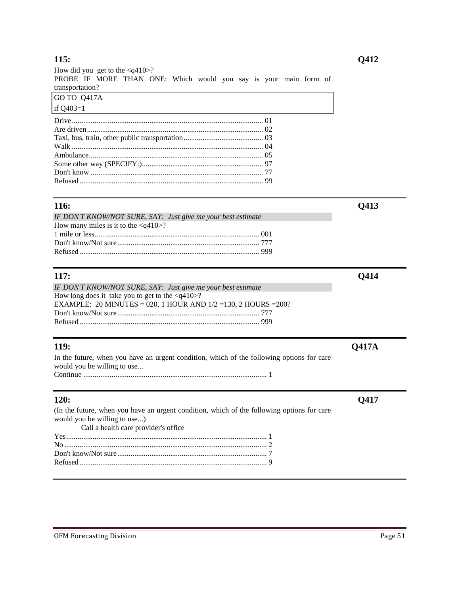| How did you get to the $\langle q410\rangle$ ?                   |  |
|------------------------------------------------------------------|--|
| PROBE IF MORE THAN ONE: Which would you say is your main form of |  |
| transportation?                                                  |  |
| GO TO 0417A                                                      |  |
| if $Q403=1$                                                      |  |
|                                                                  |  |
|                                                                  |  |
|                                                                  |  |
|                                                                  |  |
|                                                                  |  |
|                                                                  |  |
|                                                                  |  |
|                                                                  |  |

| 116:                                                         | <b>O413</b> |
|--------------------------------------------------------------|-------------|
| IF DON'T KNOW/NOT SURE, SAY: Just give me your best estimate |             |
| How many miles is it to the $\langle q410\rangle$ ?          |             |
|                                                              |             |
|                                                              |             |
|                                                              |             |

| 117:                                                               | O414 |
|--------------------------------------------------------------------|------|
| IF DON'T KNOW/NOT SURE, SAY: Just give me your best estimate       |      |
| How long does it take you to get to the $\langle q410\rangle$ ?    |      |
| EXAMPLE: 20 MINUTES = 020, 1 HOUR AND $1/2 = 130$ , 2 HOURS = 200? |      |
|                                                                    |      |
|                                                                    |      |
|                                                                    |      |

| <b>119:</b>                                                                               | <b>O417A</b> |
|-------------------------------------------------------------------------------------------|--------------|
| In the future, when you have an urgent condition, which of the following options for care |              |
| would you be willing to use                                                               |              |
|                                                                                           |              |

| 120:                                                                                                                       |  |
|----------------------------------------------------------------------------------------------------------------------------|--|
| (In the future, when you have an urgent condition, which of the following options for care<br>would you be willing to use) |  |
| Call a health care provider's office                                                                                       |  |
|                                                                                                                            |  |
|                                                                                                                            |  |
|                                                                                                                            |  |
|                                                                                                                            |  |
|                                                                                                                            |  |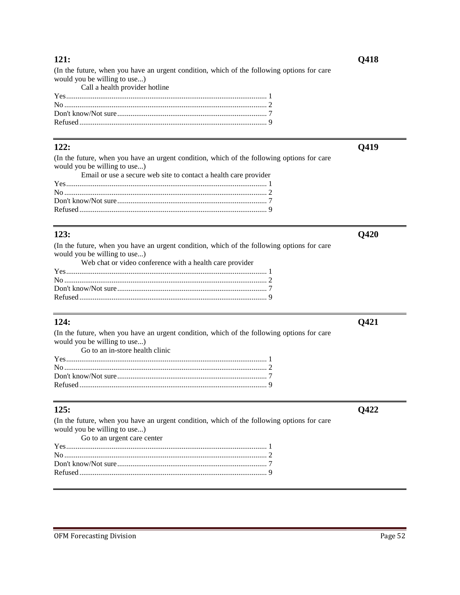(In the future, when you have an urgent condition, which of the following options for care would you be willing to use...)

Call a health provider hotline

**121: Q418** 

**122: Q419**  (In the future, when you have an urgent condition, which of the following options for care would you be willing to use...)

| Email or use a secure web site to contact a health care provider |  |
|------------------------------------------------------------------|--|
|                                                                  |  |
|                                                                  |  |
|                                                                  |  |
|                                                                  |  |
|                                                                  |  |

(In the future, when you have an urgent condition, which of the following options for care would you be willing to use...)

|  |  |  |  | Web chat or video conference with a health care provider |
|--|--|--|--|----------------------------------------------------------|
|--|--|--|--|----------------------------------------------------------|

(In the future, when you have an urgent condition, which of the following options for care would you be willing to use...) Go to an in-store health clinic

# **125: Q422**

(In the future, when you have an urgent condition, which of the following options for care would you be willing to use...) Go to an urgent care center Yes.......................................................................................................... 1 No ........................................................................................................... 2

**123: Q420**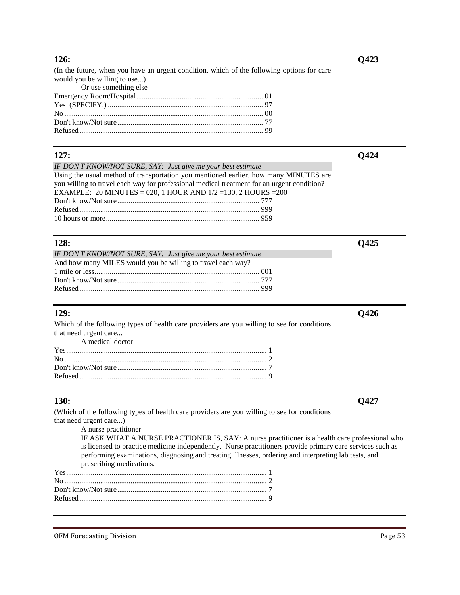(In the future, when you have an urgent condition, which of the following options for care would you be willing to use...)

| Or use something else |  |
|-----------------------|--|
|                       |  |
|                       |  |
|                       |  |
|                       |  |
|                       |  |

# **127: Q424**

*IF DON'T KNOW/NOT SURE, SAY: Just give me your best estimate* Using the usual method of transportation you mentioned earlier, how many MINUTES are you willing to travel each way for professional medical treatment for an urgent condition? EXAMPLE: 20 MINUTES = 020, 1 HOUR AND 1/2 =130, 2 HOURS =200 Don't know/Not sure........................................................................... 777 Refused ............................................................................................... 999 10 hours or more................................................................................. 959

# **128: Q425**

| IF DON'T KNOW/NOT SURE, SAY: Just give me your best estimate |  |
|--------------------------------------------------------------|--|
| And how many MILES would you be willing to travel each way?  |  |
|                                                              |  |
|                                                              |  |
|                                                              |  |

Which of the following types of health care providers are you willing to see for conditions that need urgent care... A medical doctor

# **130: Q427**

(Which of the following types of health care providers are you willing to see for conditions that need urgent care...)

A nurse practitioner

IF ASK WHAT A NURSE PRACTIONER IS, SAY: A nurse practitioner is a health care professional who is licensed to practice medicine independently. Nurse practitioners provide primary care services such as performing examinations, diagnosing and treating illnesses, ordering and interpreting lab tests, and prescribing medications.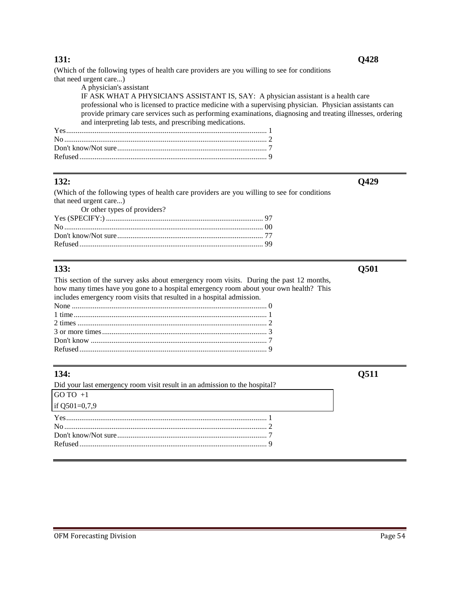(Which of the following types of health care providers are you willing to see for conditions that need urgent care...)

| A physician's assistant                                                                                    |  |
|------------------------------------------------------------------------------------------------------------|--|
| IF ASK WHAT A PHYSICIAN'S ASSISTANT IS, SAY: A physician assistant is a health care                        |  |
| professional who is licensed to practice medicine with a supervising physician. Physician assistants can   |  |
| provide primary care services such as performing examinations, diagnosing and treating illnesses, ordering |  |
| and interpreting lab tests, and prescribing medications.                                                   |  |
|                                                                                                            |  |
|                                                                                                            |  |
|                                                                                                            |  |
|                                                                                                            |  |

### **132: Q429**

(Which of the following types of health care providers are you willing to see for conditions that need urgent care...) Or other types of providers?

| Of other types of providers: |  |
|------------------------------|--|
|                              |  |
|                              |  |
|                              |  |
|                              |  |
|                              |  |

This section of the survey asks about emergency room visits. During the past 12 months, how many times have you gone to a hospital emergency room about your own health? This includes emergency room visits that resulted in a hospital admission. None ....................................................................................................... 0 1 time...................................................................................................... 1 2 times .................................................................................................... 2 3 or more times....................................................................................... 3 Don't know ............................................................................................. 7 Refused ................................................................................................... 9

| 134:                                                                       | 0511 |
|----------------------------------------------------------------------------|------|
| Did your last emergency room visit result in an admission to the hospital? |      |
| $GOTO +1$                                                                  |      |
| if Q501=0,7,9                                                              |      |
|                                                                            |      |
|                                                                            |      |
|                                                                            |      |
|                                                                            |      |
|                                                                            |      |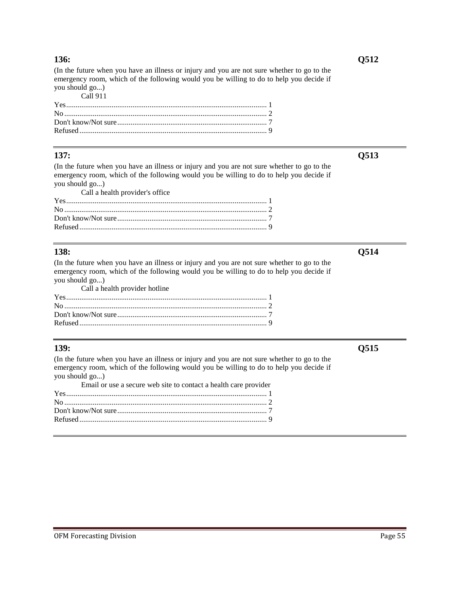(In the future when you have an illness or injury and you are not sure whether to go to the emergency room, which of the following would you be willing to do to help you decide if you should go...)

| Call 911 |  |
|----------|--|
|          |  |
|          |  |
|          |  |
|          |  |

(In the future when you have an illness or injury and you are not sure whether to go to the emergency room, which of the following would you be willing to do to help you decide if you should go...)

| Call a health provider's office |  |
|---------------------------------|--|
|                                 |  |
|                                 |  |
|                                 |  |
|                                 |  |

(In the future when you have an illness or injury and you are not sure whether to go to the emergency room, which of the following would you be willing to do to help you decide if you should go...)

| Call a health provider hotline |  |
|--------------------------------|--|
|                                |  |
|                                |  |
|                                |  |
|                                |  |

### **139: Q515**

(In the future when you have an illness or injury and you are not sure whether to go to the emergency room, which of the following would you be willing to do to help you decide if you should go...)

| Email or use a secure web site to contact a health care provider |  |
|------------------------------------------------------------------|--|
| $Yes$ (1) $1$                                                    |  |
|                                                                  |  |
|                                                                  |  |
|                                                                  |  |
|                                                                  |  |

**137: Q513**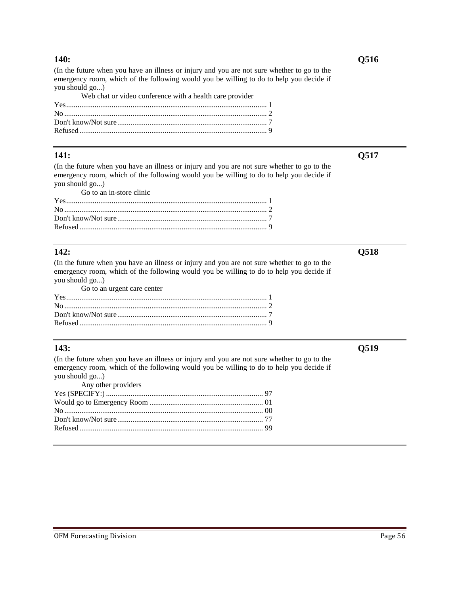(In the future when you have an illness or injury and you are not sure whether to go to the emergency room, which of the following would you be willing to do to help you decide if you should go...)

| Web chat or video conference with a health care provider |  |
|----------------------------------------------------------|--|
|                                                          |  |
|                                                          |  |
|                                                          |  |
|                                                          |  |

### **141: Q517**

(In the future when you have an illness or injury and you are not sure whether to go to the emergency room, which of the following would you be willing to do to help you decide if you should go...)

Go to an in-store clinic

### **142: Q518**

(In the future when you have an illness or injury and you are not sure whether to go to the emergency room, which of the following would you be willing to do to help you decide if you should go...)

| Go to an urgent care center |  |
|-----------------------------|--|
|                             |  |
|                             |  |
|                             |  |
|                             |  |

# **143: Q519**

(In the future when you have an illness or injury and you are not sure whether to go to the emergency room, which of the following would you be willing to do to help you decide if you should go...)

| Any other providers |  |
|---------------------|--|
|                     |  |
|                     |  |
|                     |  |
|                     |  |
|                     |  |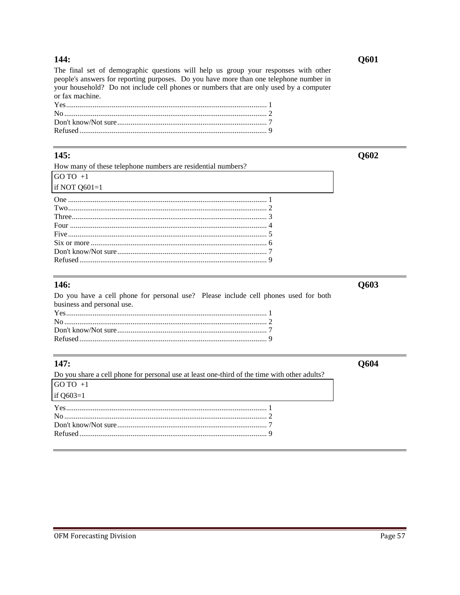### 144:

The final set of demographic questions will help us group your responses with other people's answers for reporting purposes. Do you have more than one telephone number in your household? Do not include cell phones or numbers that are only used by a computer or fax machine.

### 145:

| How many of these telephone numbers are residential numbers? |  |
|--------------------------------------------------------------|--|
| GO TO $+1$                                                   |  |
| if NOT $Q601=1$                                              |  |
|                                                              |  |
|                                                              |  |
|                                                              |  |
|                                                              |  |
|                                                              |  |
|                                                              |  |
|                                                              |  |
|                                                              |  |
|                                                              |  |

### 146:

Do you have a cell phone for personal use? Please include cell phones used for both business and personal use. 

# 147:

Do you share a cell phone for personal use at least one-third of the time with other adults? GO TO  $+1$ if  $Q603=1$ 

Q603

Q604

### Q601

Q602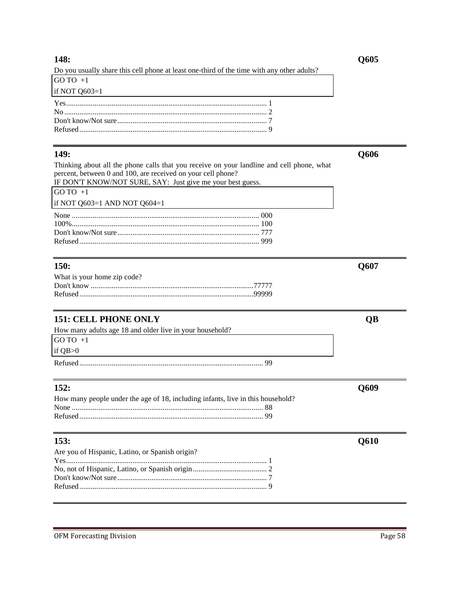### **148: Q605**

|  | Do you usually share this cell phone at least one-third of the time with any other adults? |  |  |  |  |
|--|--------------------------------------------------------------------------------------------|--|--|--|--|
|  |                                                                                            |  |  |  |  |

| $GOTO +1$       |  |
|-----------------|--|
| if NOT $Q603=1$ |  |
|                 |  |
|                 |  |
|                 |  |

Thinking about all the phone calls that you receive on your landline and cell phone, what percent, between 0 and 100, are received on your cell phone? IF DON'T KNOW/NOT SURE, SAY: Just give me your best guess.

| n bon't hnown of bond, biff, vast give me jour cest gaess. |  |
|------------------------------------------------------------|--|
| $GOTO +1$                                                  |  |
| if NOT $Q603=1$ AND NOT $Q604=1$                           |  |
|                                                            |  |
|                                                            |  |
|                                                            |  |
|                                                            |  |

Refused................................................................................................... 9

# **150: Q607**

| What is your home zip code? |  |
|-----------------------------|--|
|                             |  |
|                             |  |

# **151: CELL PHONE ONLY QB**

| How many adults age 18 and older live in your household? |  |
|----------------------------------------------------------|--|
| GO TO +1                                                 |  |
| if OB>0                                                  |  |
|                                                          |  |

| How many people under the age of 18, including infants, live in this household? |  |
|---------------------------------------------------------------------------------|--|
|                                                                                 |  |
|                                                                                 |  |

# **153: Q610**

| Are you of Hispanic, Latino, or Spanish origin? |  |
|-------------------------------------------------|--|
|                                                 |  |
|                                                 |  |
|                                                 |  |
|                                                 |  |
|                                                 |  |

**149: Q606**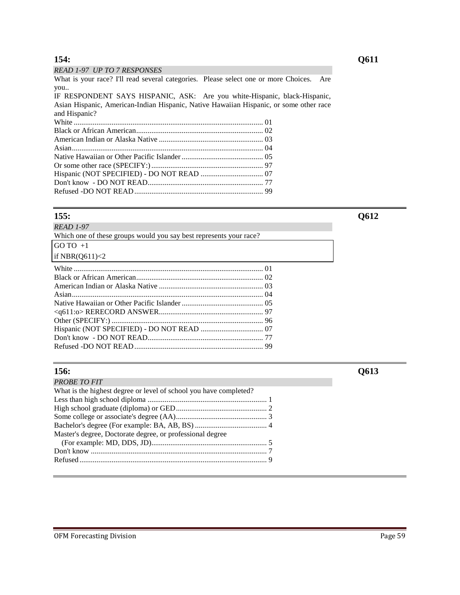### *READ 1-97 UP TO 7 RESPONSES*

What is your race? I'll read several categories. Please select one or more Choices. Are you..

IF RESPONDENT SAYS HISPANIC, ASK: Are you white-Hispanic, black-Hispanic, Asian Hispanic, American-Indian Hispanic, Native Hawaiian Hispanic, or some other race and Hispanic?

### **155: Q612**

*READ 1-97*

| Which one of these groups would you say best represents your race? |  |  |  |
|--------------------------------------------------------------------|--|--|--|
| GO TO $+1$                                                         |  |  |  |

# if NBR(Q611)<2

| $\mathbf{X}$ and $\mathbf{X}$ are the set of $\mathbf{X}$ and $\mathbf{X}$ are the set of $\mathbf{X}$ and $\mathbf{X}$ are the set of $\mathbf{X}$ and $\mathbf{X}$ are the set of $\mathbf{X}$ and $\mathbf{X}$ are the set of $\mathbf{X}$ and $\mathbf{X}$ are the set of |  |
|-------------------------------------------------------------------------------------------------------------------------------------------------------------------------------------------------------------------------------------------------------------------------------|--|
|                                                                                                                                                                                                                                                                               |  |
|                                                                                                                                                                                                                                                                               |  |
|                                                                                                                                                                                                                                                                               |  |
|                                                                                                                                                                                                                                                                               |  |
|                                                                                                                                                                                                                                                                               |  |
|                                                                                                                                                                                                                                                                               |  |
|                                                                                                                                                                                                                                                                               |  |
|                                                                                                                                                                                                                                                                               |  |
|                                                                                                                                                                                                                                                                               |  |
|                                                                                                                                                                                                                                                                               |  |
|                                                                                                                                                                                                                                                                               |  |

| <b>PROBE TO FIT</b>                                               |  |
|-------------------------------------------------------------------|--|
| What is the highest degree or level of school you have completed? |  |
|                                                                   |  |
|                                                                   |  |
|                                                                   |  |
|                                                                   |  |
| Master's degree, Doctorate degree, or professional degree         |  |
|                                                                   |  |
|                                                                   |  |
|                                                                   |  |
|                                                                   |  |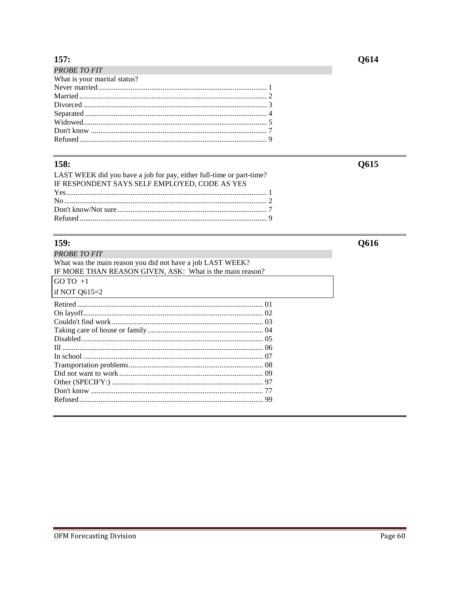# $157:$

| <b>PROBE TO FIT</b>          |  |
|------------------------------|--|
| What is your marital status? |  |
|                              |  |
|                              |  |
|                              |  |
|                              |  |
|                              |  |
|                              |  |
|                              |  |
|                              |  |

# 158:

| LAST WEEK did you have a job for pay, either full-time or part-time? |  |
|----------------------------------------------------------------------|--|
| IF RESPONDENT SAYS SELF EMPLOYED, CODE AS YES                        |  |
|                                                                      |  |
|                                                                      |  |
|                                                                      |  |
|                                                                      |  |

# $159:$

| <b>PROBE TO FIT</b>                                        |  |
|------------------------------------------------------------|--|
| What was the main reason you did not have a job LAST WEEK? |  |
| IF MORE THAN REASON GIVEN, ASK: What is the main reason?   |  |
| $GOTO +1$                                                  |  |
| if NOT $Q615=2$                                            |  |
|                                                            |  |
|                                                            |  |
|                                                            |  |
|                                                            |  |
|                                                            |  |
|                                                            |  |
|                                                            |  |
|                                                            |  |
|                                                            |  |
|                                                            |  |
|                                                            |  |
|                                                            |  |
|                                                            |  |

# **Q614**

**Q615** 

Q616